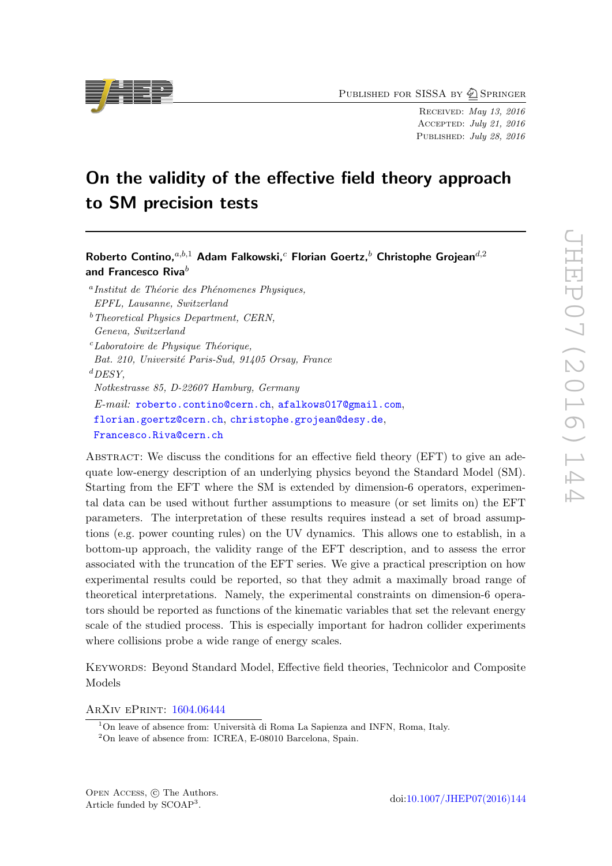PUBLISHED FOR SISSA BY 2 SPRINGER

Received: May 13, 2016 Accepted: July 21, 2016 PUBLISHED: July 28, 2016

# On the validity of the effective field theory approach to SM precision tests

Roberto Contino,  $a,b,1}$  Adam Falkowski, <sup>c</sup> Florian Goertz, <sup>b</sup> Christophe Grojean<sup>d, 2</sup> and Francesco Riva $^b$ 

<sup>a</sup>Institut de Théorie des Phénomenes Physiques, EPFL, Lausanne, Switzerland

 $<sup>b</sup> Theoretical Physics Department, CERN,$ </sup> Geneva, Switzerland  $c$ Laboratoire de Physique Théorique, Bat. 210, Université Paris-Sud, 91405 Orsay, France  ${}^{d}$ DESY, Notkestrasse 85, D-22607 Hamburg, Germany E-mail: [roberto.contino@cern.ch](mailto:roberto.contino@cern.ch), [afalkows017@gmail.com](mailto:afalkows017@gmail.com), [florian.goertz@cern.ch](mailto:florian.goertz@cern.ch), [christophe.grojean@desy.de](mailto:christophe.grojean@desy.de),

[Francesco.Riva@cern.ch](mailto:Francesco.Riva@cern.ch)

ABSTRACT: We discuss the conditions for an effective field theory (EFT) to give an adequate low-energy description of an underlying physics beyond the Standard Model (SM). Starting from the EFT where the SM is extended by dimension-6 operators, experimental data can be used without further assumptions to measure (or set limits on) the EFT parameters. The interpretation of these results requires instead a set of broad assumptions (e.g. power counting rules) on the UV dynamics. This allows one to establish, in a bottom-up approach, the validity range of the EFT description, and to assess the error associated with the truncation of the EFT series. We give a practical prescription on how experimental results could be reported, so that they admit a maximally broad range of theoretical interpretations. Namely, the experimental constraints on dimension-6 operators should be reported as functions of the kinematic variables that set the relevant energy scale of the studied process. This is especially important for hadron collider experiments where collisions probe a wide range of energy scales.

Keywords: Beyond Standard Model, Effective field theories, Technicolor and Composite Models

ArXiv ePrint: [1604.06444](http://arxiv.org/abs/1604.06444)

<sup>2</sup>On leave of absence from: ICREA, E-08010 Barcelona, Spain.



 $1$ On leave of absence from: Università di Roma La Sapienza and INFN, Roma, Italy.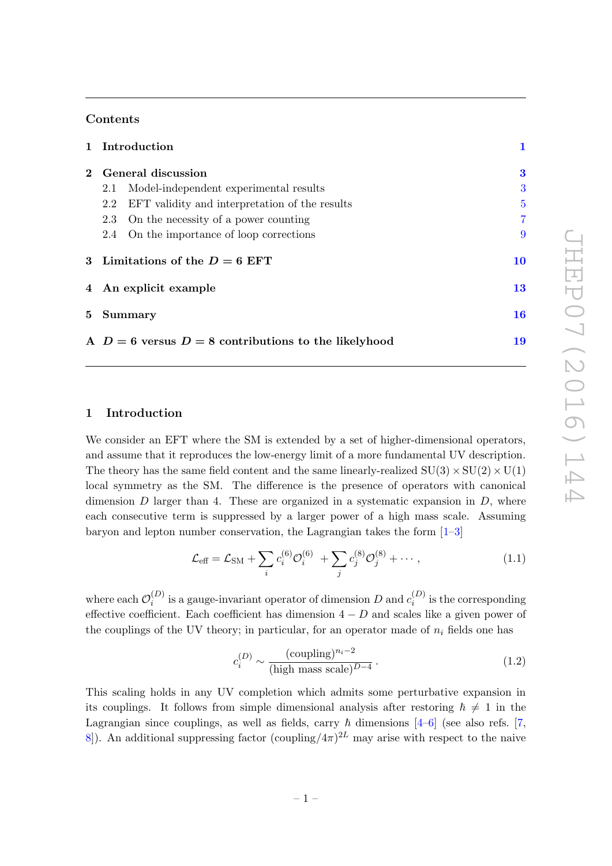# Contents

|                | 1 Introduction                                        |                |  |  |
|----------------|-------------------------------------------------------|----------------|--|--|
| $2^{\circ}$    | General discussion                                    |                |  |  |
|                | Model-independent experimental results<br>2.1         | 3              |  |  |
|                | EFT validity and interpretation of the results<br>2.2 | $\overline{5}$ |  |  |
|                | On the necessity of a power counting<br>2.3           | $\overline{7}$ |  |  |
|                | On the importance of loop corrections<br>2.4          | 9              |  |  |
|                | 3 Limitations of the $D=6$ EFT                        | 10             |  |  |
|                | 4 An explicit example                                 |                |  |  |
| 5 <sup>5</sup> | <b>Summary</b>                                        |                |  |  |
|                | A $D=6$ versus $D=8$ contributions to the likelyhood  |                |  |  |

# <span id="page-1-0"></span>1 Introduction

We consider an EFT where the SM is extended by a set of higher-dimensional operators, and assume that it reproduces the low-energy limit of a more fundamental UV description. The theory has the same field content and the same linearly-realized  $SU(3) \times SU(2) \times U(1)$ local symmetry as the SM. The difference is the presence of operators with canonical dimension  $D$  larger than 4. These are organized in a systematic expansion in  $D$ , where each consecutive term is suppressed by a larger power of a high mass scale. Assuming baryon and lepton number conservation, the Lagrangian takes the form  $[1-3]$ 

<span id="page-1-2"></span>
$$
\mathcal{L}_{\text{eff}} = \mathcal{L}_{\text{SM}} + \sum_{i} c_i^{(6)} \mathcal{O}_i^{(6)} + \sum_{j} c_j^{(8)} \mathcal{O}_j^{(8)} + \cdots, \qquad (1.1)
$$

where each  $\mathcal{O}_i^{(D)}$  $i^{(D)}_i$  is a gauge-invariant operator of dimension D and  $c_i^{(D)}$  $i_i^{(D)}$  is the corresponding effective coefficient. Each coefficient has dimension  $4-D$  and scales like a given power of the couplings of the UV theory; in particular, for an operator made of  $n_i$  fields one has

<span id="page-1-1"></span>
$$
c_i^{(D)} \sim \frac{(\text{coupling})^{n_i - 2}}{(\text{high mass scale})^{D - 4}}.
$$
\n(1.2)

This scaling holds in any UV completion which admits some perturbative expansion in its couplings. It follows from simple dimensional analysis after restoring  $\hbar \neq 1$  in the Lagrangian since couplings, as well as fields, carry  $\hbar$  dimensions [\[4](#page-20-2)[–6\]](#page-20-3) (see also refs. [\[7,](#page-20-4) 8. An additional suppressing factor  $(\text{coupling}/4\pi)^{2L}$  may arise with respect to the naive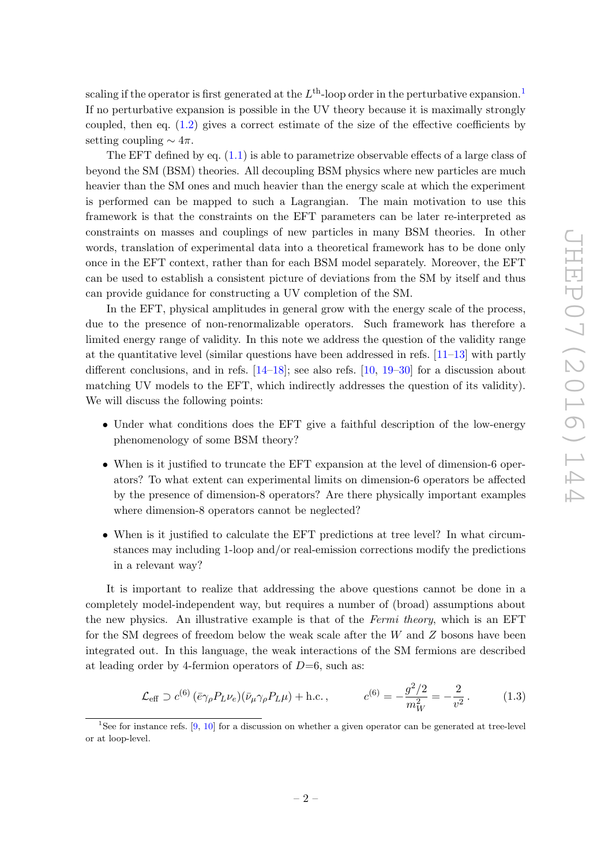scaling if the operator is first generated at the  $L^{\text{th}}$ -loop order in the perturbative expansion.<sup>[1](#page-2-0)</sup> If no perturbative expansion is possible in the UV theory because it is maximally strongly coupled, then eq. [\(1.2\)](#page-1-1) gives a correct estimate of the size of the effective coefficients by setting coupling  $\sim 4\pi$ .

The EFT defined by eq.  $(1.1)$  is able to parametrize observable effects of a large class of beyond the SM (BSM) theories. All decoupling BSM physics where new particles are much heavier than the SM ones and much heavier than the energy scale at which the experiment is performed can be mapped to such a Lagrangian. The main motivation to use this framework is that the constraints on the EFT parameters can be later re-interpreted as constraints on masses and couplings of new particles in many BSM theories. In other words, translation of experimental data into a theoretical framework has to be done only once in the EFT context, rather than for each BSM model separately. Moreover, the EFT can be used to establish a consistent picture of deviations from the SM by itself and thus can provide guidance for constructing a UV completion of the SM.

In the EFT, physical amplitudes in general grow with the energy scale of the process, due to the presence of non-renormalizable operators. Such framework has therefore a limited energy range of validity. In this note we address the question of the validity range at the quantitative level (similar questions have been addressed in refs. [\[11](#page-20-6)[–13\]](#page-20-7) with partly different conclusions, and in refs.  $[14-18]$ ; see also refs.  $[10, 19-30]$  $[10, 19-30]$  $[10, 19-30]$  for a discussion about matching UV models to the EFT, which indirectly addresses the question of its validity). We will discuss the following points:

- Under what conditions does the EFT give a faithful description of the low-energy phenomenology of some BSM theory?
- When is it justified to truncate the EFT expansion at the level of dimension-6 operators? To what extent can experimental limits on dimension-6 operators be affected by the presence of dimension-8 operators? Are there physically important examples where dimension-8 operators cannot be neglected?
- When is it justified to calculate the EFT predictions at tree level? In what circumstances may including 1-loop and/or real-emission corrections modify the predictions in a relevant way?

It is important to realize that addressing the above questions cannot be done in a completely model-independent way, but requires a number of (broad) assumptions about the new physics. An illustrative example is that of the Fermi theory, which is an EFT for the SM degrees of freedom below the weak scale after the  $W$  and  $Z$  bosons have been integrated out. In this language, the weak interactions of the SM fermions are described at leading order by 4-fermion operators of  $D=6$ , such as:

$$
\mathcal{L}_{\text{eff}} \supset c^{(6)} \left( \bar{e} \gamma_{\rho} P_{L} \nu_{e} \right) \left( \bar{\nu}_{\mu} \gamma_{\rho} P_{L} \mu \right) + \text{h.c.} \,, \qquad c^{(6)} = -\frac{g^2/2}{m_W^2} = -\frac{2}{v^2} \,. \tag{1.3}
$$

<span id="page-2-0"></span><sup>&</sup>lt;sup>1</sup>See for instance refs.  $[9, 10]$  $[9, 10]$  $[9, 10]$  for a discussion on whether a given operator can be generated at tree-level or at loop-level.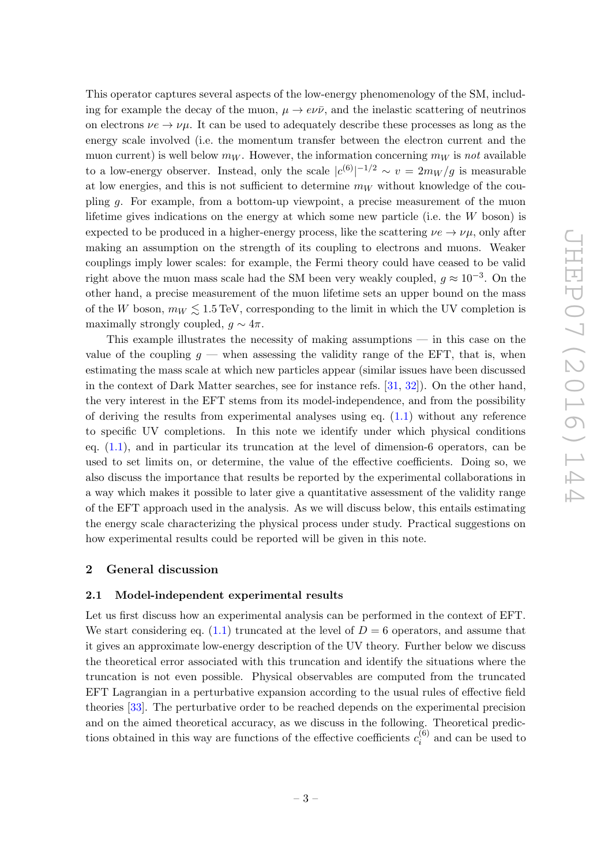This operator captures several aspects of the low-energy phenomenology of the SM, including for example the decay of the muon,  $\mu \to e\nu\bar{\nu}$ , and the inelastic scattering of neutrinos on electrons  $\nu e \rightarrow \nu \mu$ . It can be used to adequately describe these processes as long as the energy scale involved (i.e. the momentum transfer between the electron current and the muon current) is well below  $m_W$ . However, the information concerning  $m_W$  is not available to a low-energy observer. Instead, only the scale  $|c^{(6)}|^{-1/2} \sim v = 2m_W/g$  is measurable at low energies, and this is not sufficient to determine  $m_W$  without knowledge of the coupling g. For example, from a bottom-up viewpoint, a precise measurement of the muon lifetime gives indications on the energy at which some new particle (i.e. the W boson) is expected to be produced in a higher-energy process, like the scattering  $\nu e \rightarrow \nu \mu$ , only after making an assumption on the strength of its coupling to electrons and muons. Weaker couplings imply lower scales: for example, the Fermi theory could have ceased to be valid right above the muon mass scale had the SM been very weakly coupled,  $g \approx 10^{-3}$ . On the other hand, a precise measurement of the muon lifetime sets an upper bound on the mass of the W boson,  $m_W \leq 1.5 \text{ TeV}$ , corresponding to the limit in which the UV completion is maximally strongly coupled,  $q \sim 4\pi$ .

This example illustrates the necessity of making assumptions — in this case on the value of the coupling  $q$  — when assessing the validity range of the EFT, that is, when estimating the mass scale at which new particles appear (similar issues have been discussed in the context of Dark Matter searches, see for instance refs. [\[31,](#page-21-4) [32\]](#page-21-5)). On the other hand, the very interest in the EFT stems from its model-independence, and from the possibility of deriving the results from experimental analyses using eq.  $(1.1)$  without any reference to specific UV completions. In this note we identify under which physical conditions eq.  $(1.1)$ , and in particular its truncation at the level of dimension-6 operators, can be used to set limits on, or determine, the value of the effective coefficients. Doing so, we also discuss the importance that results be reported by the experimental collaborations in a way which makes it possible to later give a quantitative assessment of the validity range of the EFT approach used in the analysis. As we will discuss below, this entails estimating the energy scale characterizing the physical process under study. Practical suggestions on how experimental results could be reported will be given in this note.

# <span id="page-3-0"></span>2 General discussion

## <span id="page-3-1"></span>2.1 Model-independent experimental results

Let us first discuss how an experimental analysis can be performed in the context of EFT. We start considering eq. [\(1.1\)](#page-1-2) truncated at the level of  $D = 6$  operators, and assume that it gives an approximate low-energy description of the UV theory. Further below we discuss the theoretical error associated with this truncation and identify the situations where the truncation is not even possible. Physical observables are computed from the truncated EFT Lagrangian in a perturbative expansion according to the usual rules of effective field theories [\[33\]](#page-22-0). The perturbative order to be reached depends on the experimental precision and on the aimed theoretical accuracy, as we discuss in the following. Theoretical predictions obtained in this way are functions of the effective coefficients  $c_i^{(6)}$  $i_i^{(0)}$  and can be used to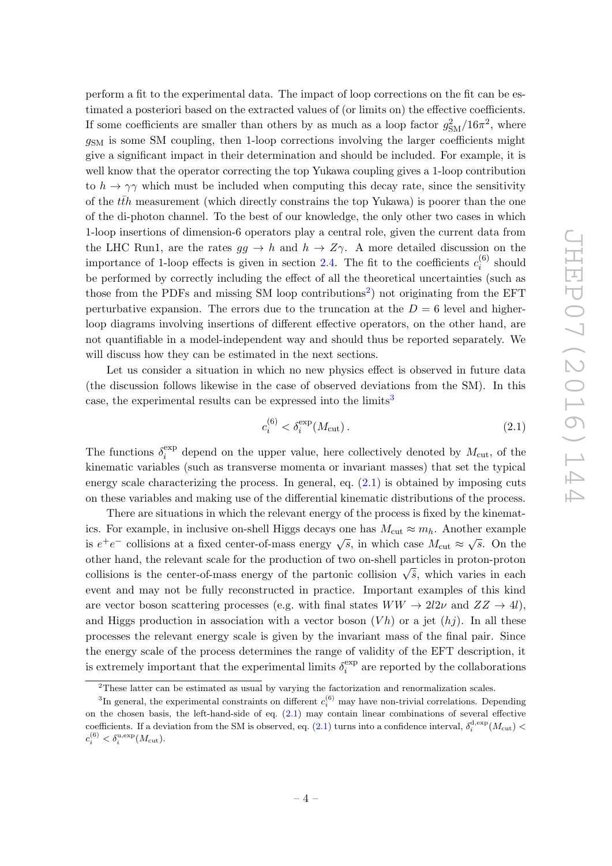perform a fit to the experimental data. The impact of loop corrections on the fit can be estimated a posteriori based on the extracted values of (or limits on) the effective coefficients. If some coefficients are smaller than others by as much as a loop factor  $g_{\rm SM}^2/16\pi^2$ , where  $g<sub>SM</sub>$  is some SM coupling, then 1-loop corrections involving the larger coefficients might give a significant impact in their determination and should be included. For example, it is well know that the operator correcting the top Yukawa coupling gives a 1-loop contribution to  $h \to \gamma \gamma$  which must be included when computing this decay rate, since the sensitivity of the  $t\bar{t}h$  measurement (which directly constrains the top Yukawa) is poorer than the one of the di-photon channel. To the best of our knowledge, the only other two cases in which 1-loop insertions of dimension-6 operators play a central role, given the current data from the LHC Run1, are the rates  $gg \to h$  and  $h \to Z\gamma$ . A more detailed discussion on the importance of 1-loop effects is given in section [2.4.](#page-9-0) The fit to the coefficients  $c_i^{(6)}$  $x_i^{(0)}$  should be performed by correctly including the effect of all the theoretical uncertainties (such as those from the PDFs and missing SM loop contributions<sup>[2](#page-4-0)</sup>) not originating from the EFT perturbative expansion. The errors due to the truncation at the  $D = 6$  level and higherloop diagrams involving insertions of different effective operators, on the other hand, are not quantifiable in a model-independent way and should thus be reported separately. We will discuss how they can be estimated in the next sections.

Let us consider a situation in which no new physics effect is observed in future data (the discussion follows likewise in the case of observed deviations from the SM). In this case, the experimental results can be expressed into the limits<sup>[3](#page-4-1)</sup>

<span id="page-4-2"></span>
$$
c_i^{(6)} < \delta_i^{\exp}(M_{\text{cut}}) \,. \tag{2.1}
$$

The functions  $\delta_i^{\text{exp}}$  $i<sub>i</sub>$  depend on the upper value, here collectively denoted by  $M<sub>cut</sub>$ , of the kinematic variables (such as transverse momenta or invariant masses) that set the typical energy scale characterizing the process. In general, eq.  $(2.1)$  is obtained by imposing cuts on these variables and making use of the differential kinematic distributions of the process.

There are situations in which the relevant energy of the process is fixed by the kinematics. For example, in inclusive on-shell Higgs decays one has  $M_{\text{cut}} \approx m_h$ . Another example is  $e^+e^-$  collisions at a fixed center-of-mass energy  $\sqrt{s}$ , in which case  $M_{\text{cut}} \approx \sqrt{s}$ . On the other hand, the relevant scale for the production of two on-shell particles in proton-proton collisions is the center-of-mass energy of the partonic collision  $\sqrt{\hat{s}}$ , which varies in each event and may not be fully reconstructed in practice. Important examples of this kind are vector boson scattering processes (e.g. with final states  $WW \rightarrow 2l2\nu$  and  $ZZ \rightarrow 4l$ ). and Higgs production in association with a vector boson  $(Vh)$  or a jet  $(hj)$ . In all these processes the relevant energy scale is given by the invariant mass of the final pair. Since the energy scale of the process determines the range of validity of the EFT description, it is extremely important that the experimental limits  $\delta_i^{\text{exp}}$  $i$ <sup>exp</sup> are reported by the collaborations

<span id="page-4-1"></span><span id="page-4-0"></span><sup>&</sup>lt;sup>2</sup>These latter can be estimated as usual by varying the factorization and renormalization scales.

<sup>&</sup>lt;sup>3</sup>In general, the experimental constraints on different  $c_i^{(6)}$  may have non-trivial correlations. Depending on the chosen basis, the left-hand-side of eq. [\(2.1\)](#page-4-2) may contain linear combinations of several effective coefficients. If a deviation from the SM is observed, eq.  $(2.1)$  turns into a confidence interval,  $\delta_i^{\text{d,exp}}(M_{\text{cut}})$  <  $c_i^{(6)} < \delta_i^{\text{u,exp}}(M_{\text{cut}}).$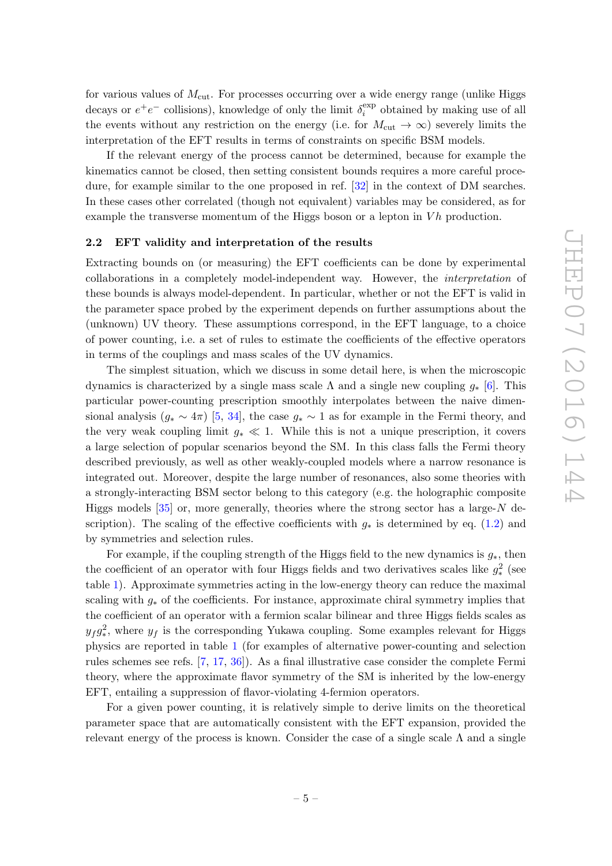for various values of  $M<sub>cut</sub>$ . For processes occurring over a wide energy range (unlike Higgs decays or  $e^+e^-$  collisions), knowledge of only the limit  $\delta_i^{\text{exp}}$  $i_i^{\text{exp}}$  obtained by making use of all the events without any restriction on the energy (i.e. for  $M_{\text{cut}} \to \infty$ ) severely limits the interpretation of the EFT results in terms of constraints on specific BSM models.

If the relevant energy of the process cannot be determined, because for example the kinematics cannot be closed, then setting consistent bounds requires a more careful procedure, for example similar to the one proposed in ref. [\[32\]](#page-21-5) in the context of DM searches. In these cases other correlated (though not equivalent) variables may be considered, as for example the transverse momentum of the Higgs boson or a lepton in  $Vh$  production.

## <span id="page-5-0"></span>2.2 EFT validity and interpretation of the results

Extracting bounds on (or measuring) the EFT coefficients can be done by experimental collaborations in a completely model-independent way. However, the interpretation of these bounds is always model-dependent. In particular, whether or not the EFT is valid in the parameter space probed by the experiment depends on further assumptions about the (unknown) UV theory. These assumptions correspond, in the EFT language, to a choice of power counting, i.e. a set of rules to estimate the coefficients of the effective operators in terms of the couplings and mass scales of the UV dynamics.

The simplest situation, which we discuss in some detail here, is when the microscopic dynamics is characterized by a single mass scale  $\Lambda$  and a single new coupling  $g_*$  [\[6\]](#page-20-3). This particular power-counting prescription smoothly interpolates between the naive dimensional analysis  $(g_* \sim 4\pi)$  [\[5,](#page-20-10) [34\]](#page-22-1), the case  $g_* \sim 1$  as for example in the Fermi theory, and the very weak coupling limit  $g_* \ll 1$ . While this is not a unique prescription, it covers a large selection of popular scenarios beyond the SM. In this class falls the Fermi theory described previously, as well as other weakly-coupled models where a narrow resonance is integrated out. Moreover, despite the large number of resonances, also some theories with a strongly-interacting BSM sector belong to this category (e.g. the holographic composite Higgs models  $[35]$  or, more generally, theories where the strong sector has a large-N description). The scaling of the effective coefficients with  $g_*$  is determined by eq. [\(1.2\)](#page-1-1) and by symmetries and selection rules.

For example, if the coupling strength of the Higgs field to the new dynamics is  $g_*$ , then the coefficient of an operator with four Higgs fields and two derivatives scales like  $g_*^2$  (see table [1\)](#page-6-0). Approximate symmetries acting in the low-energy theory can reduce the maximal scaling with  $g_*$  of the coefficients. For instance, approximate chiral symmetry implies that the coefficient of an operator with a fermion scalar bilinear and three Higgs fields scales as  $y_f g_*^2$ , where  $y_f$  is the corresponding Yukawa coupling. Some examples relevant for Higgs physics are reported in table [1](#page-6-0) (for examples of alternative power-counting and selection rules schemes see refs. [\[7,](#page-20-4) [17,](#page-21-6) [36\]](#page-22-3)). As a final illustrative case consider the complete Fermi theory, where the approximate flavor symmetry of the SM is inherited by the low-energy EFT, entailing a suppression of flavor-violating 4-fermion operators.

For a given power counting, it is relatively simple to derive limits on the theoretical parameter space that are automatically consistent with the EFT expansion, provided the relevant energy of the process is known. Consider the case of a single scale  $\Lambda$  and a single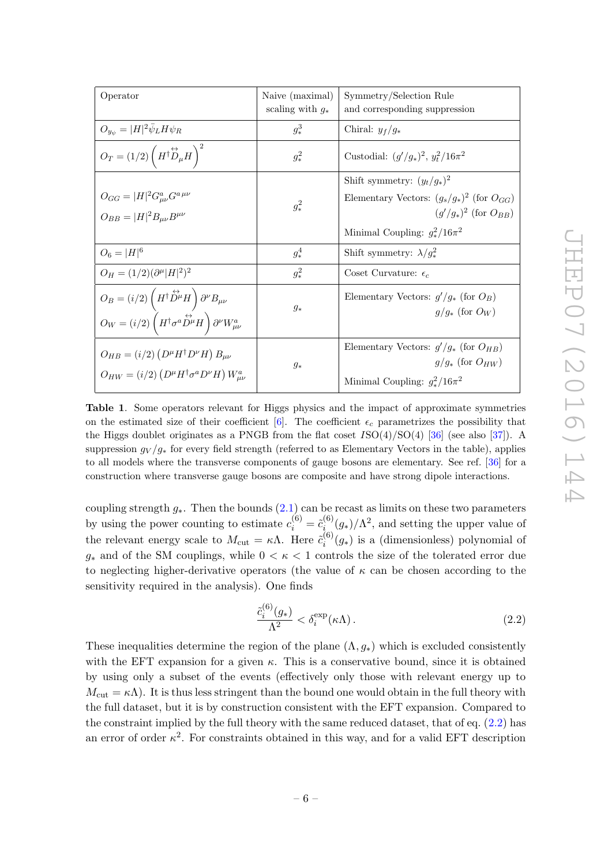| Operator                                                                                                                                                                                                                 | Naive (maximal)<br>scaling with $g_*$ | Symmetry/Selection Rule<br>and corresponding suppression                                                       |
|--------------------------------------------------------------------------------------------------------------------------------------------------------------------------------------------------------------------------|---------------------------------------|----------------------------------------------------------------------------------------------------------------|
| $O_{y_{\psi}}= H ^2\bar{\psi}_L H \psi_R$                                                                                                                                                                                | $g_*^3$                               | Chiral: $y_f/g_*$                                                                                              |
| $O_T = (1/2)\left(H^{\dagger} \overset{\leftrightarrow}{D}_{\mu} H\right)^2$                                                                                                                                             | $g_*^2$                               | Custodial: $(g'/g_*)^2$ , $y_t^2/16\pi^2$                                                                      |
|                                                                                                                                                                                                                          |                                       | Shift symmetry: $(y_t/g_*)^2$                                                                                  |
| $O_{GG} =  H ^2 G^a_{\mu\nu} G^{a \mu\nu}$<br>$O_{BB} =  H ^2 B_{\mu\nu} B^{\mu\nu}$                                                                                                                                     | $g_*^2$                               | Elementary Vectors: $(g_s/g_*)^2$ (for $O_{GG}$ )<br>$(q'/q_*)^2$ (for $O_{BB}$ )                              |
|                                                                                                                                                                                                                          |                                       | Minimal Coupling: $g_*^2/16\pi^2$                                                                              |
| $O_6 =  H ^6$                                                                                                                                                                                                            | $g_*^4$                               | Shift symmetry: $\lambda/g_*^2$                                                                                |
| $O_H = (1/2)(\partial^{\mu}  H ^2)^2$                                                                                                                                                                                    | $g_*^2$                               | Coset Curvature: $\epsilon_c$                                                                                  |
| $O_B = (i/2) \left( H^\dagger \! \stackrel{\leftrightarrow}{D^\mu} \! H \right) \partial^\nu B_{\mu\nu}$<br>$O_W = (i/2) \left( H^\dagger \sigma^a \overset{\leftrightarrow}{D^\mu} H \right) \partial^\nu W^a_{\mu\nu}$ | $g_*$                                 | Elementary Vectors: $g'/g_*$ (for $O_B$ )<br>$q/q_*$ (for $O_W$ )                                              |
| $O_{HB} = (i/2) (D^{\mu}H^{\dagger}D^{\nu}H) B_{\mu\nu}$<br>$O_{HW} = (i/2) (D^{\mu} H^{\dagger} \sigma^a D^{\nu} H) W_{\mu\nu}^a$                                                                                       | $g_*$                                 | Elementary Vectors: $g' / g_*$ (for $O_{HB}$ )<br>$g/g_*$ (for $O_{HW}$ )<br>Minimal Coupling: $g_*^2/16\pi^2$ |

<span id="page-6-0"></span>Table 1. Some operators relevant for Higgs physics and the impact of approximate symmetries on the estimated size of their coefficient  $[6]$ . The coefficient  $\epsilon_c$  parametrizes the possibility that the Higgs doublet originates as a PNGB from the flat coset  $ISO(4)/SO(4)$  [\[36\]](#page-22-3) (see also [\[37\]](#page-22-4)). A suppression  $q_V / q_*$  for every field strength (referred to as Elementary Vectors in the table), applies to all models where the transverse components of gauge bosons are elementary. See ref. [\[36\]](#page-22-3) for a construction where transverse gauge bosons are composite and have strong dipole interactions.

coupling strength  $g_*$ . Then the bounds  $(2.1)$  can be recast as limits on these two parameters by using the power counting to estimate  $c_i^{(6)} = \tilde{c}_i^{(6)}$  $i_i^{(6)}(g_*)/\Lambda^2$ , and setting the upper value of the relevant energy scale to  $M_{\text{cut}} = \kappa \Lambda$ . Here  $\tilde{c}_i^{(6)}$  $i_i^{(0)}(g_*)$  is a (dimensionless) polynomial of  $g_*$  and of the SM couplings, while  $0 < \kappa < 1$  controls the size of the tolerated error due to neglecting higher-derivative operators (the value of  $\kappa$  can be chosen according to the sensitivity required in the analysis). One finds

<span id="page-6-1"></span>
$$
\frac{\tilde{c}_i^{(6)}(g_*)}{\Lambda^2} < \delta_i^{\exp}(\kappa \Lambda). \tag{2.2}
$$

These inequalities determine the region of the plane  $(\Lambda, g_*)$  which is excluded consistently with the EFT expansion for a given  $\kappa$ . This is a conservative bound, since it is obtained by using only a subset of the events (effectively only those with relevant energy up to  $M_{\text{cut}} = \kappa \Lambda$ ). It is thus less stringent than the bound one would obtain in the full theory with the full dataset, but it is by construction consistent with the EFT expansion. Compared to the constraint implied by the full theory with the same reduced dataset, that of eq. [\(2.2\)](#page-6-1) has an error of order  $\kappa^2$ . For constraints obtained in this way, and for a valid EFT description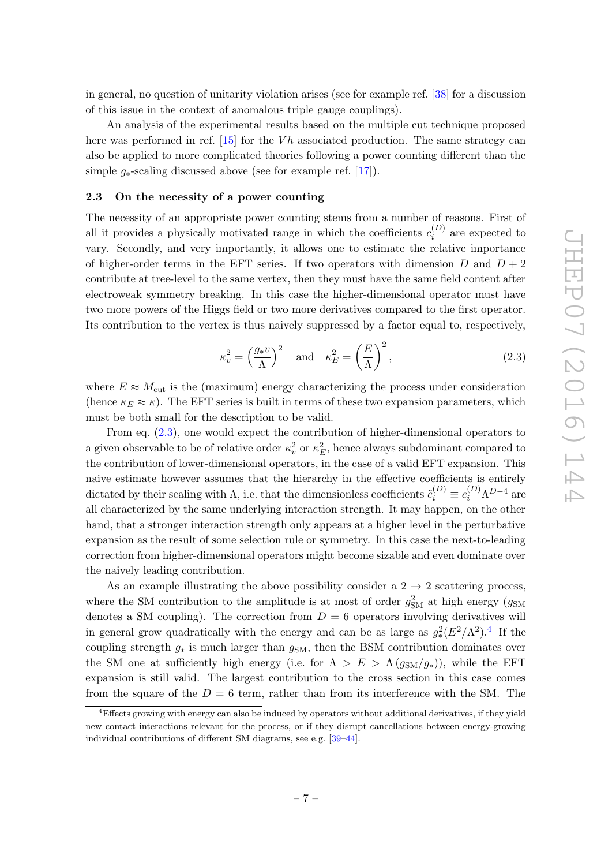in general, no question of unitarity violation arises (see for example ref. [\[38\]](#page-22-5) for a discussion of this issue in the context of anomalous triple gauge couplings).

An analysis of the experimental results based on the multiple cut technique proposed here was performed in ref. [\[15\]](#page-21-7) for the  $Vh$  associated production. The same strategy can also be applied to more complicated theories following a power counting different than the simple  $g_*$ -scaling discussed above (see for example ref. [\[17\]](#page-21-6)).

## <span id="page-7-0"></span>2.3 On the necessity of a power counting

The necessity of an appropriate power counting stems from a number of reasons. First of all it provides a physically motivated range in which the coefficients  $c_i^{(D)}$  $i^{(D)}$  are expected to vary. Secondly, and very importantly, it allows one to estimate the relative importance of higher-order terms in the EFT series. If two operators with dimension  $D$  and  $D + 2$ contribute at tree-level to the same vertex, then they must have the same field content after electroweak symmetry breaking. In this case the higher-dimensional operator must have two more powers of the Higgs field or two more derivatives compared to the first operator. Its contribution to the vertex is thus naively suppressed by a factor equal to, respectively,

<span id="page-7-1"></span>
$$
\kappa_v^2 = \left(\frac{g_* v}{\Lambda}\right)^2 \quad \text{and} \quad \kappa_E^2 = \left(\frac{E}{\Lambda}\right)^2,\tag{2.3}
$$

where  $E \approx M_{\text{cut}}$  is the (maximum) energy characterizing the process under consideration (hence  $\kappa_E \approx \kappa$ ). The EFT series is built in terms of these two expansion parameters, which must be both small for the description to be valid.

From eq. [\(2.3\)](#page-7-1), one would expect the contribution of higher-dimensional operators to a given observable to be of relative order  $\kappa_v^2$  or  $\kappa_E^2$ , hence always subdominant compared to the contribution of lower-dimensional operators, in the case of a valid EFT expansion. This naive estimate however assumes that the hierarchy in the effective coefficients is entirely dictated by their scaling with  $\Lambda$ , i.e. that the dimensionless coefficients  $\tilde{c}_i^{(D)} \equiv c_i^{(D)} \Lambda^{D-4}$  are all characterized by the same underlying interaction strength. It may happen, on the other hand, that a stronger interaction strength only appears at a higher level in the perturbative expansion as the result of some selection rule or symmetry. In this case the next-to-leading correction from higher-dimensional operators might become sizable and even dominate over the naively leading contribution.

As an example illustrating the above possibility consider a  $2 \rightarrow 2$  scattering process, where the SM contribution to the amplitude is at most of order  $g_{\text{SM}}^2$  at high energy  $(g_{\text{SM}})$ denotes a SM coupling). The correction from  $D = 6$  operators involving derivatives will in general grow quadratically with the energy and can be as large as  $g^2_*(E^2/\Lambda^2)$ .<sup>[4](#page-7-2)</sup> If the coupling strength  $g_*$  is much larger than  $g_{SM}$ , then the BSM contribution dominates over the SM one at sufficiently high energy (i.e. for  $\Lambda > E > \Lambda(g_{SM}/g_{*})$ ), while the EFT expansion is still valid. The largest contribution to the cross section in this case comes from the square of the  $D = 6$  term, rather than from its interference with the SM. The

<span id="page-7-2"></span><sup>&</sup>lt;sup>4</sup>Effects growing with energy can also be induced by operators without additional derivatives, if they yield new contact interactions relevant for the process, or if they disrupt cancellations between energy-growing individual contributions of different SM diagrams, see e.g. [\[39](#page-22-6)[–44\]](#page-22-7).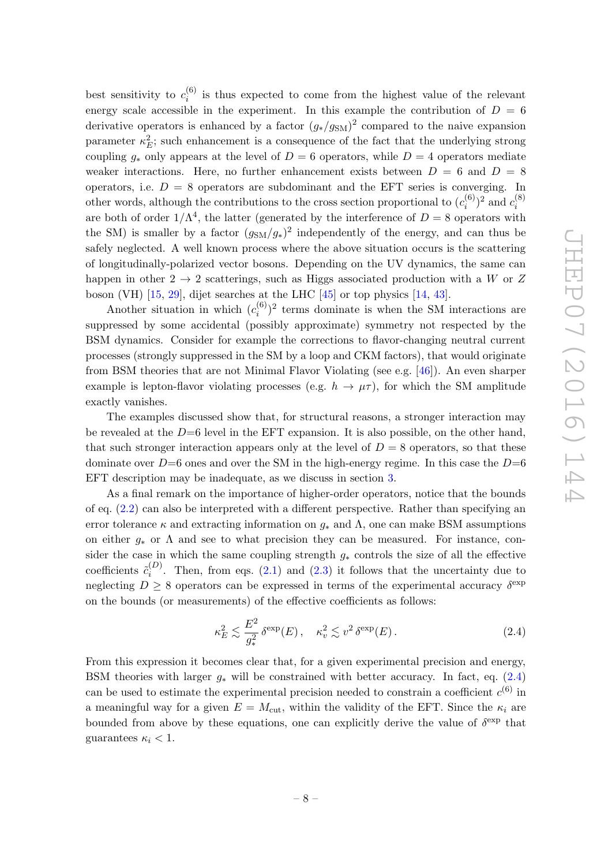best sensitivity to  $c_i^{(6)}$  $i_i^{(0)}$  is thus expected to come from the highest value of the relevant energy scale accessible in the experiment. In this example the contribution of  $D = 6$ derivative operators is enhanced by a factor  $(g_*/g_{\rm SM})^2$  compared to the naive expansion parameter  $\kappa_E^2$ ; such enhancement is a consequence of the fact that the underlying strong coupling  $q_*$  only appears at the level of  $D = 6$  operators, while  $D = 4$  operators mediate weaker interactions. Here, no further enhancement exists between  $D = 6$  and  $D = 8$ operators, i.e.  $D = 8$  operators are subdominant and the EFT series is converging. In other words, although the contributions to the cross section proportional to  $(c_i^{(6)})$  $c_i^{(6)})^2$  and  $c_i^{(8)}$ i are both of order  $1/\Lambda^4$ , the latter (generated by the interference of  $D=8$  operators with the SM) is smaller by a factor  $(g<sub>SM</sub>/g<sub>*</sub>)<sup>2</sup>$  independently of the energy, and can thus be safely neglected. A well known process where the above situation occurs is the scattering of longitudinally-polarized vector bosons. Depending on the UV dynamics, the same can happen in other  $2 \rightarrow 2$  scatterings, such as Higgs associated production with a W or Z boson (VH) [\[15,](#page-21-7) [29\]](#page-21-8), dijet searches at the LHC [\[45\]](#page-22-8) or top physics [\[14,](#page-21-0) [43\]](#page-22-9).

Another situation in which  $(c_i^{(6)})$  $\binom{6}{i}$ <sup>2</sup> terms dominate is when the SM interactions are suppressed by some accidental (possibly approximate) symmetry not respected by the BSM dynamics. Consider for example the corrections to flavor-changing neutral current processes (strongly suppressed in the SM by a loop and CKM factors), that would originate from BSM theories that are not Minimal Flavor Violating (see e.g. [\[46\]](#page-22-10)). An even sharper example is lepton-flavor violating processes (e.g.  $h \to \mu \tau$ ), for which the SM amplitude exactly vanishes.

The examples discussed show that, for structural reasons, a stronger interaction may be revealed at the  $D=6$  level in the EFT expansion. It is also possible, on the other hand, that such stronger interaction appears only at the level of  $D = 8$  operators, so that these dominate over  $D=6$  ones and over the SM in the high-energy regime. In this case the  $D=6$ EFT description may be inadequate, as we discuss in section [3.](#page-10-0)

As a final remark on the importance of higher-order operators, notice that the bounds of eq. [\(2.2\)](#page-6-1) can also be interpreted with a different perspective. Rather than specifying an error tolerance  $\kappa$  and extracting information on  $g_*$  and  $\Lambda$ , one can make BSM assumptions on either  $g_*$  or  $\Lambda$  and see to what precision they can be measured. For instance, consider the case in which the same coupling strength  $g_*$  controls the size of all the effective coefficients  $\tilde{c}_i^{(D)}$  $i^{(D)}$ . Then, from eqs. [\(2.1\)](#page-4-2) and [\(2.3\)](#page-7-1) it follows that the uncertainty due to neglecting  $D \geq 8$  operators can be expressed in terms of the experimental accuracy  $\delta^{\text{exp}}$ on the bounds (or measurements) of the effective coefficients as follows:

<span id="page-8-0"></span>
$$
\kappa_E^2 \lesssim \frac{E^2}{g_*^2} \delta^{\exp}(E) \,, \quad \kappa_v^2 \lesssim v^2 \delta^{\exp}(E) \,. \tag{2.4}
$$

From this expression it becomes clear that, for a given experimental precision and energy, BSM theories with larger  $g_*$  will be constrained with better accuracy. In fact, eq. [\(2.4\)](#page-8-0) can be used to estimate the experimental precision needed to constrain a coefficient  $c^{(6)}$  in a meaningful way for a given  $E = M_{\text{cut}}$ , within the validity of the EFT. Since the  $\kappa_i$  are bounded from above by these equations, one can explicitly derive the value of  $\delta^{\text{exp}}$  that guarantees  $\kappa_i < 1$ .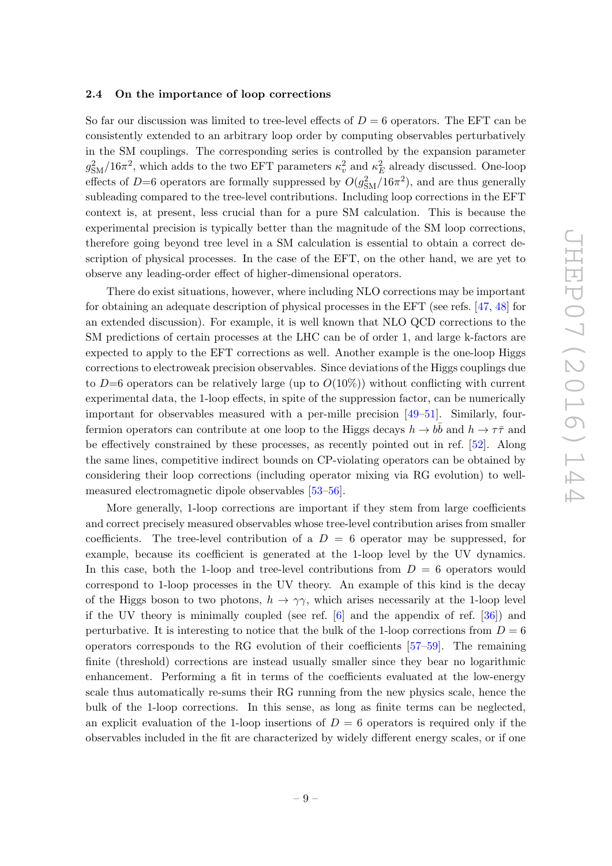#### <span id="page-9-0"></span>2.4 On the importance of loop corrections

So far our discussion was limited to tree-level effects of  $D = 6$  operators. The EFT can be consistently extended to an arbitrary loop order by computing observables perturbatively in the SM couplings. The corresponding series is controlled by the expansion parameter  $g_{\rm SM}^2/16\pi^2$ , which adds to the two EFT parameters  $\kappa_v^2$  and  $\kappa_E^2$  already discussed. One-loop effects of D=6 operators are formally suppressed by  $O(g_{\rm SM}^2/16\pi^2)$ , and are thus generally subleading compared to the tree-level contributions. Including loop corrections in the EFT context is, at present, less crucial than for a pure SM calculation. This is because the experimental precision is typically better than the magnitude of the SM loop corrections, therefore going beyond tree level in a SM calculation is essential to obtain a correct description of physical processes. In the case of the EFT, on the other hand, we are yet to observe any leading-order effect of higher-dimensional operators.

There do exist situations, however, where including NLO corrections may be important for obtaining an adequate description of physical processes in the EFT (see refs. [\[47,](#page-22-11) [48\]](#page-22-12) for an extended discussion). For example, it is well known that NLO QCD corrections to the SM predictions of certain processes at the LHC can be of order 1, and large k-factors are expected to apply to the EFT corrections as well. Another example is the one-loop Higgs corrections to electroweak precision observables. Since deviations of the Higgs couplings due to  $D=6$  operators can be relatively large (up to  $O(10\%)$ ) without conflicting with current experimental data, the 1-loop effects, in spite of the suppression factor, can be numerically important for observables measured with a per-mille precision [\[49–](#page-22-13)[51\]](#page-22-14). Similarly, fourfermion operators can contribute at one loop to the Higgs decays  $h \to b\bar{b}$  and  $h \to \tau\bar{\tau}$  and be effectively constrained by these processes, as recently pointed out in ref. [\[52\]](#page-23-0). Along the same lines, competitive indirect bounds on CP-violating operators can be obtained by considering their loop corrections (including operator mixing via RG evolution) to wellmeasured electromagnetic dipole observables [\[53](#page-23-1)[–56\]](#page-23-2).

More generally, 1-loop corrections are important if they stem from large coefficients and correct precisely measured observables whose tree-level contribution arises from smaller coefficients. The tree-level contribution of a  $D = 6$  operator may be suppressed, for example, because its coefficient is generated at the 1-loop level by the UV dynamics. In this case, both the 1-loop and tree-level contributions from  $D = 6$  operators would correspond to 1-loop processes in the UV theory. An example of this kind is the decay of the Higgs boson to two photons,  $h \to \gamma \gamma$ , which arises necessarily at the 1-loop level if the UV theory is minimally coupled (see ref. [\[6\]](#page-20-3) and the appendix of ref. [\[36\]](#page-22-3)) and perturbative. It is interesting to notice that the bulk of the 1-loop corrections from  $D = 6$ operators corresponds to the RG evolution of their coefficients [\[57](#page-23-3)[–59\]](#page-23-4). The remaining finite (threshold) corrections are instead usually smaller since they bear no logarithmic enhancement. Performing a fit in terms of the coefficients evaluated at the low-energy scale thus automatically re-sums their RG running from the new physics scale, hence the bulk of the 1-loop corrections. In this sense, as long as finite terms can be neglected, an explicit evaluation of the 1-loop insertions of  $D = 6$  operators is required only if the observables included in the fit are characterized by widely different energy scales, or if one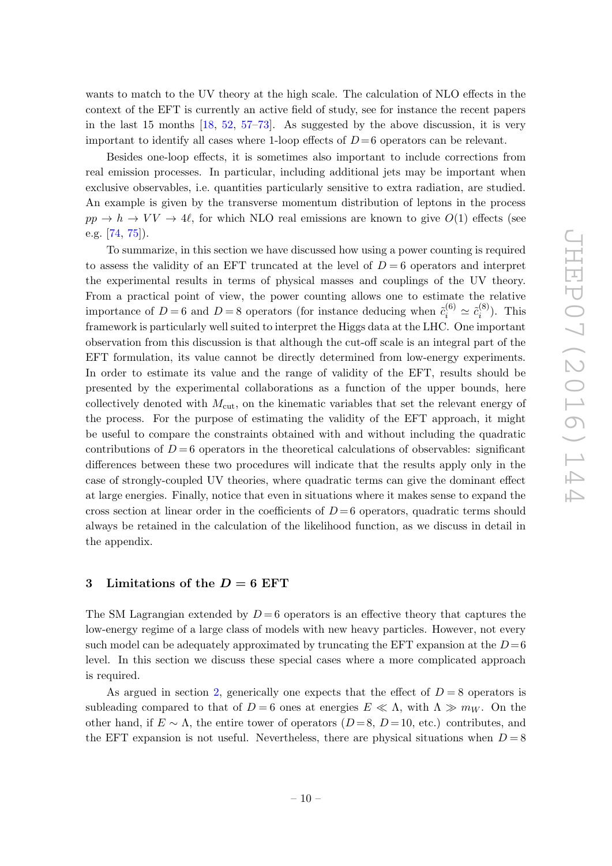wants to match to the UV theory at the high scale. The calculation of NLO effects in the context of the EFT is currently an active field of study, see for instance the recent papers in the last 15 months [\[18,](#page-21-1) [52,](#page-23-0) [57–](#page-23-3)[73\]](#page-24-0). As suggested by the above discussion, it is very important to identify all cases where 1-loop effects of  $D=6$  operators can be relevant.

Besides one-loop effects, it is sometimes also important to include corrections from real emission processes. In particular, including additional jets may be important when exclusive observables, i.e. quantities particularly sensitive to extra radiation, are studied. An example is given by the transverse momentum distribution of leptons in the process  $pp \to h \to VV \to 4\ell$ , for which NLO real emissions are known to give  $O(1)$  effects (see e.g. [\[74,](#page-24-1) [75\]](#page-24-2)).

To summarize, in this section we have discussed how using a power counting is required to assess the validity of an EFT truncated at the level of  $D=6$  operators and interpret the experimental results in terms of physical masses and couplings of the UV theory. From a practical point of view, the power counting allows one to estimate the relative importance of  $D=6$  and  $D=8$  operators (for instance deducing when  $\tilde{c}_i^{(6)} \simeq \tilde{c}_i^{(8)}$  $i^{(0)}$ ). This framework is particularly well suited to interpret the Higgs data at the LHC. One important observation from this discussion is that although the cut-off scale is an integral part of the EFT formulation, its value cannot be directly determined from low-energy experiments. In order to estimate its value and the range of validity of the EFT, results should be presented by the experimental collaborations as a function of the upper bounds, here collectively denoted with  $M_{\text{cut}}$ , on the kinematic variables that set the relevant energy of the process. For the purpose of estimating the validity of the EFT approach, it might be useful to compare the constraints obtained with and without including the quadratic contributions of  $D=6$  operators in the theoretical calculations of observables: significant differences between these two procedures will indicate that the results apply only in the case of strongly-coupled UV theories, where quadratic terms can give the dominant effect at large energies. Finally, notice that even in situations where it makes sense to expand the cross section at linear order in the coefficients of  $D=6$  operators, quadratic terms should always be retained in the calculation of the likelihood function, as we discuss in detail in the appendix.

# <span id="page-10-0"></span>3 Limitations of the  $D = 6$  EFT

The SM Lagrangian extended by  $D=6$  operators is an effective theory that captures the low-energy regime of a large class of models with new heavy particles. However, not every such model can be adequately approximated by truncating the EFT expansion at the  $D=6$ level. In this section we discuss these special cases where a more complicated approach is required.

As argued in section [2,](#page-3-0) generically one expects that the effect of  $D = 8$  operators is subleading compared to that of  $D = 6$  ones at energies  $E \ll \Lambda$ , with  $\Lambda \gg m_W$ . On the other hand, if  $E \sim \Lambda$ , the entire tower of operators  $(D=8, D=10, \text{ etc.})$  contributes, and the EFT expansion is not useful. Nevertheless, there are physical situations when  $D = 8$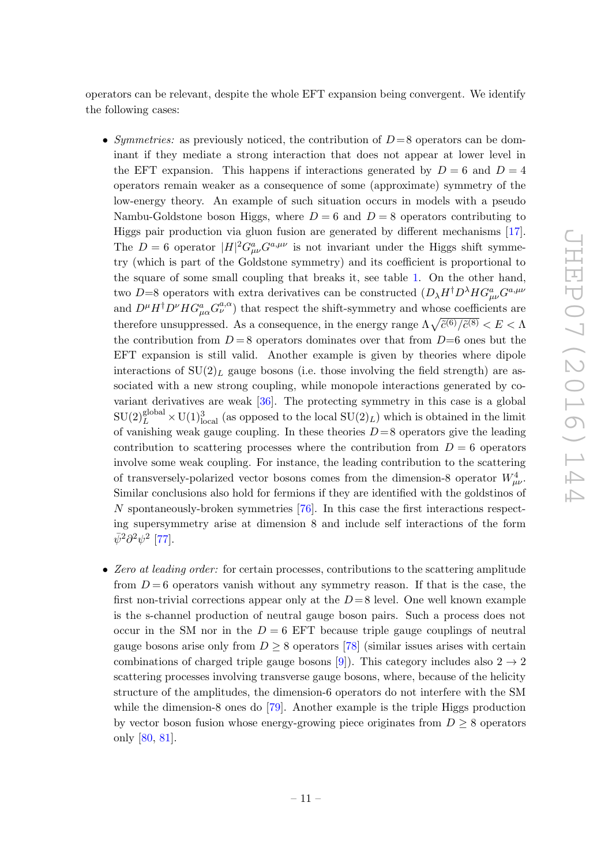operators can be relevant, despite the whole EFT expansion being convergent. We identify the following cases:

- Symmetries: as previously noticed, the contribution of  $D=8$  operators can be dominant if they mediate a strong interaction that does not appear at lower level in the EFT expansion. This happens if interactions generated by  $D = 6$  and  $D = 4$ operators remain weaker as a consequence of some (approximate) symmetry of the low-energy theory. An example of such situation occurs in models with a pseudo Nambu-Goldstone boson Higgs, where  $D = 6$  and  $D = 8$  operators contributing to Higgs pair production via gluon fusion are generated by different mechanisms [\[17\]](#page-21-6). The  $D=6$  operator  $|H|^2 G^a_{\mu\nu} G^{a,\mu\nu}$  is not invariant under the Higgs shift symmetry (which is part of the Goldstone symmetry) and its coefficient is proportional to the square of some small coupling that breaks it, see table [1.](#page-6-0) On the other hand, two D=8 operators with extra derivatives can be constructed  $(D_{\lambda}H^{\dagger}D^{\lambda}HG_{\mu\nu}^aG^{a,\mu\nu}$ and  $D^{\mu}H^{\dagger}D^{\nu}HG_{\mu\alpha}^{a}G_{\nu}^{a,\alpha}$  that respect the shift-symmetry and whose coefficients are therefore unsuppressed. As a consequence, in the energy range  $\Lambda \sqrt{\tilde{c}^{(6)}/\tilde{c}^{(8)}} < E < \Lambda$ the contribution from  $D=8$  operators dominates over that from  $D=6$  ones but the EFT expansion is still valid. Another example is given by theories where dipole interactions of  $SU(2)_L$  gauge bosons (i.e. those involving the field strength) are associated with a new strong coupling, while monopole interactions generated by covariant derivatives are weak  $[36]$ . The protecting symmetry in this case is a global  $SU(2)_L^{\text{global}} \times U(1)_{\text{local}}^3$  (as opposed to the local  $SU(2)_L$ ) which is obtained in the limit of vanishing weak gauge coupling. In these theories  $D=8$  operators give the leading contribution to scattering processes where the contribution from  $D = 6$  operators involve some weak coupling. For instance, the leading contribution to the scattering of transversely-polarized vector bosons comes from the dimension-8 operator  $W_{\mu\nu}^4$ . Similar conclusions also hold for fermions if they are identified with the goldstinos of N spontaneously-broken symmetries [\[76\]](#page-24-3). In this case the first interactions respecting supersymmetry arise at dimension 8 and include self interactions of the form  $\bar{\psi}^2 \partial^2 \psi^2$  [\[77\]](#page-24-4).
- Zero at leading order: for certain processes, contributions to the scattering amplitude from  $D=6$  operators vanish without any symmetry reason. If that is the case, the first non-trivial corrections appear only at the  $D=8$  level. One well known example is the s-channel production of neutral gauge boson pairs. Such a process does not occur in the SM nor in the  $D = 6$  EFT because triple gauge couplings of neutral gauge bosons arise only from  $D \geq 8$  operators [\[78\]](#page-24-5) (similar issues arises with certain combinations of charged triple gauge bosons [\[9\]](#page-20-9)). This category includes also  $2 \rightarrow 2$ scattering processes involving transverse gauge bosons, where, because of the helicity structure of the amplitudes, the dimension-6 operators do not interfere with the SM while the dimension-8 ones do [\[79\]](#page-24-6). Another example is the triple Higgs production by vector boson fusion whose energy-growing piece originates from  $D \geq 8$  operators only [\[80,](#page-24-7) [81\]](#page-24-8).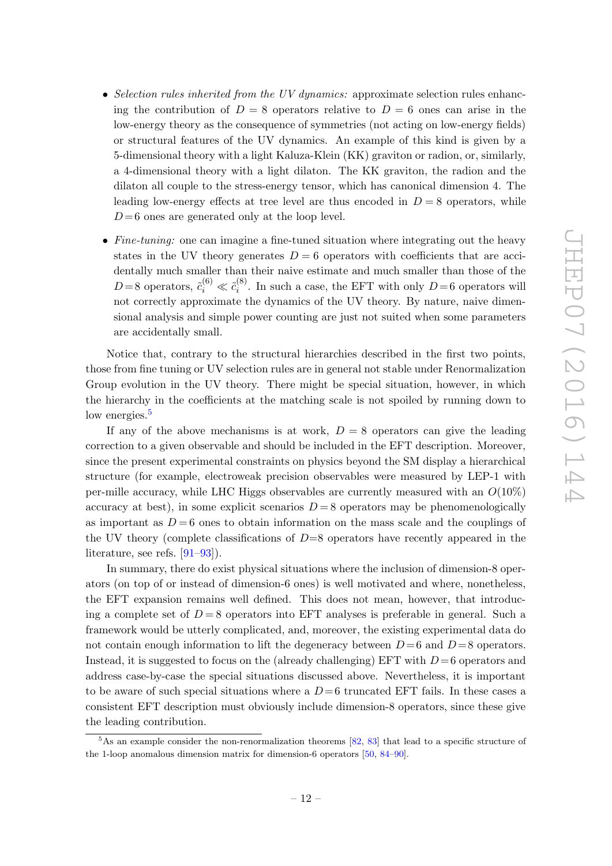- Selection rules inherited from the UV dynamics: approximate selection rules enhancing the contribution of  $D = 8$  operators relative to  $D = 6$  ones can arise in the low-energy theory as the consequence of symmetries (not acting on low-energy fields) or structural features of the UV dynamics. An example of this kind is given by a 5-dimensional theory with a light Kaluza-Klein (KK) graviton or radion, or, similarly, a 4-dimensional theory with a light dilaton. The KK graviton, the radion and the dilaton all couple to the stress-energy tensor, which has canonical dimension 4. The leading low-energy effects at tree level are thus encoded in  $D = 8$  operators, while  $D=6$  ones are generated only at the loop level.
- Fine-tuning: one can imagine a fine-tuned situation where integrating out the heavy states in the UV theory generates  $D = 6$  operators with coefficients that are accidentally much smaller than their naive estimate and much smaller than those of the D=8 operators,  $\tilde{c}_i^{(6)} \ll \tilde{c}_i^{(8)}$  $i<sup>(6)</sup>$ . In such a case, the EFT with only  $D=6$  operators will not correctly approximate the dynamics of the UV theory. By nature, naive dimensional analysis and simple power counting are just not suited when some parameters are accidentally small.

Notice that, contrary to the structural hierarchies described in the first two points, those from fine tuning or UV selection rules are in general not stable under Renormalization Group evolution in the UV theory. There might be special situation, however, in which the hierarchy in the coefficients at the matching scale is not spoiled by running down to low energies.<sup>[5](#page-12-0)</sup>

If any of the above mechanisms is at work,  $D = 8$  operators can give the leading correction to a given observable and should be included in the EFT description. Moreover, since the present experimental constraints on physics beyond the SM display a hierarchical structure (for example, electroweak precision observables were measured by LEP-1 with per-mille accuracy, while LHC Higgs observables are currently measured with an  $O(10\%)$ accuracy at best), in some explicit scenarios  $D = 8$  operators may be phenomenologically as important as  $D = 6$  ones to obtain information on the mass scale and the couplings of the UV theory (complete classifications of  $D=8$  operators have recently appeared in the literature, see refs. [\[91](#page-25-0)[–93\]](#page-25-1)).

In summary, there do exist physical situations where the inclusion of dimension-8 operators (on top of or instead of dimension-6 ones) is well motivated and where, nonetheless, the EFT expansion remains well defined. This does not mean, however, that introducing a complete set of  $D=8$  operators into EFT analyses is preferable in general. Such a framework would be utterly complicated, and, moreover, the existing experimental data do not contain enough information to lift the degeneracy between  $D=6$  and  $D=8$  operators. Instead, it is suggested to focus on the (already challenging) EFT with  $D=6$  operators and address case-by-case the special situations discussed above. Nevertheless, it is important to be aware of such special situations where a  $D=6$  truncated EFT fails. In these cases a consistent EFT description must obviously include dimension-8 operators, since these give the leading contribution.

<span id="page-12-0"></span> $5$ As an example consider the non-renormalization theorems [\[82,](#page-24-9) [83\]](#page-24-10) that lead to a specific structure of the 1-loop anomalous dimension matrix for dimension-6 operators [\[50,](#page-22-15) [84–](#page-24-11)[90\]](#page-25-2).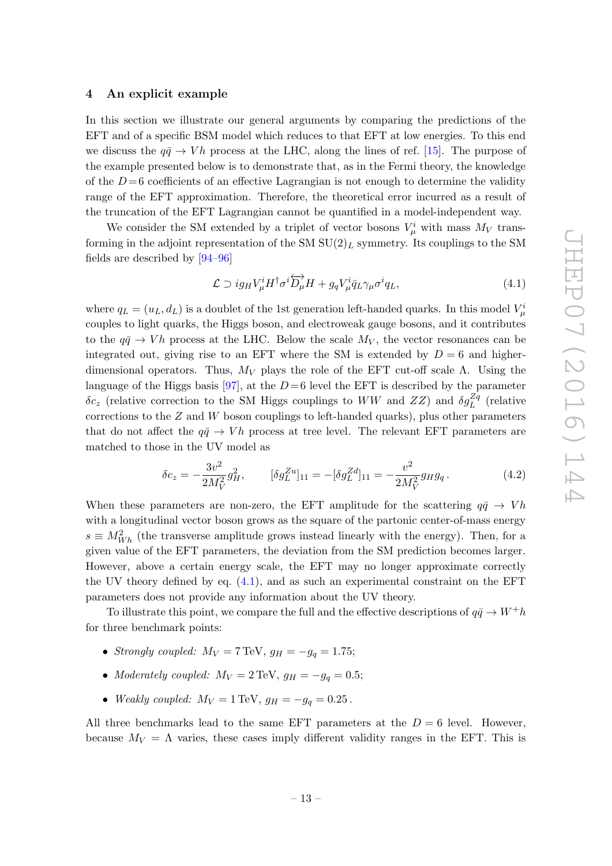## <span id="page-13-0"></span>4 An explicit example

In this section we illustrate our general arguments by comparing the predictions of the EFT and of a specific BSM model which reduces to that EFT at low energies. To this end we discuss the  $q\bar{q} \rightarrow Vh$  process at the LHC, along the lines of ref. [\[15\]](#page-21-7). The purpose of the example presented below is to demonstrate that, as in the Fermi theory, the knowledge of the  $D=6$  coefficients of an effective Lagrangian is not enough to determine the validity range of the EFT approximation. Therefore, the theoretical error incurred as a result of the truncation of the EFT Lagrangian cannot be quantified in a model-independent way.

We consider the SM extended by a triplet of vector bosons  $V^i_\mu$  with mass  $M_V$  transforming in the adjoint representation of the SM  $SU(2)_L$  symmetry. Its couplings to the SM fields are described by [\[94](#page-25-3)[–96\]](#page-25-4)

<span id="page-13-1"></span>
$$
\mathcal{L} \supset ig_H V^i_\mu H^\dagger \sigma^i \overleftrightarrow{D_\mu} H + g_q V^i_\mu \overline{q}_L \gamma_\mu \sigma^i q_L,\tag{4.1}
$$

where  $q_L = (u_L, d_L)$  is a doublet of the 1st generation left-handed quarks. In this model  $V^i_\mu$ couples to light quarks, the Higgs boson, and electroweak gauge bosons, and it contributes to the  $q\bar{q} \rightarrow Vh$  process at the LHC. Below the scale  $M_V$ , the vector resonances can be integrated out, giving rise to an EFT where the SM is extended by  $D = 6$  and higherdimensional operators. Thus,  $M_V$  plays the role of the EFT cut-off scale  $\Lambda$ . Using the language of the Higgs basis [\[97\]](#page-25-5), at the  $D=6$  level the EFT is described by the parameter  $\delta c_z$  (relative correction to the SM Higgs couplings to WW and ZZ) and  $\delta g_L^{Zq}$  (relative corrections to the  $Z$  and  $W$  boson couplings to left-handed quarks), plus other parameters that do not affect the  $q\bar{q} \rightarrow Vh$  process at tree level. The relevant EFT parameters are matched to those in the UV model as

<span id="page-13-2"></span>
$$
\delta c_z = -\frac{3v^2}{2M_V^2}g_H^2, \qquad [\delta g_L^{Zu}]_{11} = -[\delta g_L^{Zd}]_{11} = -\frac{v^2}{2M_V^2}g_Hg_q. \tag{4.2}
$$

When these parameters are non-zero, the EFT amplitude for the scattering  $q\bar{q} \rightarrow Vh$ with a longitudinal vector boson grows as the square of the partonic center-of-mass energy  $s \equiv M_{Wh}^2$  (the transverse amplitude grows instead linearly with the energy). Then, for a given value of the EFT parameters, the deviation from the SM prediction becomes larger. However, above a certain energy scale, the EFT may no longer approximate correctly the UV theory defined by eq. [\(4.1\)](#page-13-1), and as such an experimental constraint on the EFT parameters does not provide any information about the UV theory.

To illustrate this point, we compare the full and the effective descriptions of  $q\bar{q} \to W^+h$ for three benchmark points:

- Strongly coupled:  $M_V = 7 \text{ TeV}, g_H = -g_q = 1.75;$
- Moderately coupled:  $M_V = 2 \text{ TeV}, g_H = -g_q = 0.5;$
- Weakly coupled:  $M_V = 1 \,\text{TeV}, g_H = -g_q = 0.25$ .

All three benchmarks lead to the same EFT parameters at the  $D=6$  level. However, because  $M_V = \Lambda$  varies, these cases imply different validity ranges in the EFT. This is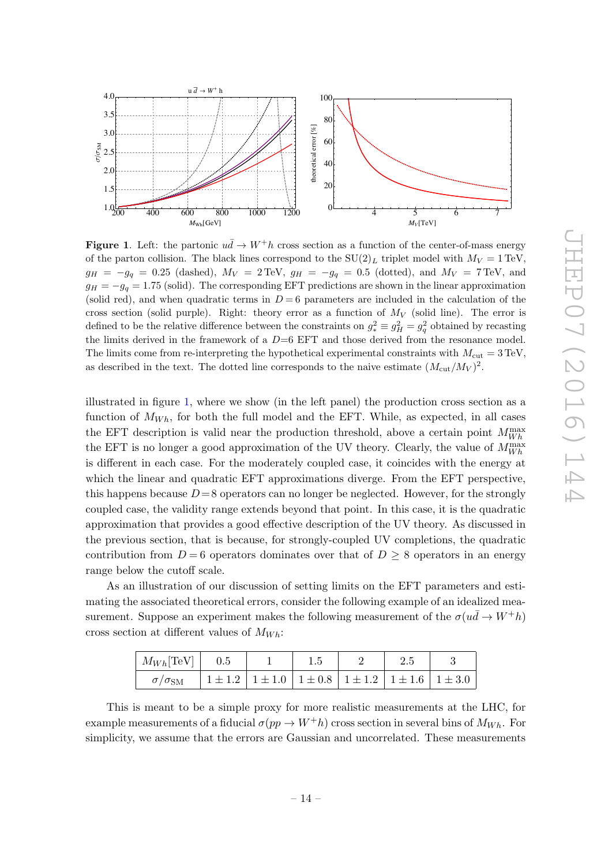

<span id="page-14-0"></span>**Figure 1.** Left: the partonic  $u\bar{d} \rightarrow W^+h$  cross section as a function of the center-of-mass energy of the parton collision. The black lines correspond to the  $SU(2)_L$  triplet model with  $M_V = 1 \text{ TeV}$ ,  $g_H = -g_q = 0.25$  (dashed),  $M_V = 2 \text{TeV}$ ,  $g_H = -g_q = 0.5$  (dotted), and  $M_V = 7 \text{TeV}$ , and  $g_H = -g_q = 1.75$  (solid). The corresponding EFT predictions are shown in the linear approximation (solid red), and when quadratic terms in  $D = 6$  parameters are included in the calculation of the cross section (solid purple). Right: theory error as a function of  $M_V$  (solid line). The error is defined to be the relative difference between the constraints on  $g_*^2 \equiv g_H^2 = g_q^2$  obtained by recasting the limits derived in the framework of a  $D=6$  EFT and those derived from the resonance model. The limits come from re-interpreting the hypothetical experimental constraints with  $M_{\text{cut}} = 3 \,\text{TeV}$ , as described in the text. The dotted line corresponds to the naive estimate  $(M_{\text{cut}}/M_V)^2$ .

illustrated in figure [1,](#page-14-0) where we show (in the left panel) the production cross section as a function of  $M_{Wh}$ , for both the full model and the EFT. While, as expected, in all cases the EFT description is valid near the production threshold, above a certain point  $M_{Wh}^{\text{max}}$ the EFT is no longer a good approximation of the UV theory. Clearly, the value of  $M_{Wh}^{\text{max}}$ is different in each case. For the moderately coupled case, it coincides with the energy at which the linear and quadratic EFT approximations diverge. From the EFT perspective, this happens because  $D = 8$  operators can no longer be neglected. However, for the strongly coupled case, the validity range extends beyond that point. In this case, it is the quadratic approximation that provides a good effective description of the UV theory. As discussed in the previous section, that is because, for strongly-coupled UV completions, the quadratic contribution from  $D=6$  operators dominates over that of  $D \geq 8$  operators in an energy range below the cutoff scale.

As an illustration of our discussion of setting limits on the EFT parameters and estimating the associated theoretical errors, consider the following example of an idealized measurement. Suppose an experiment makes the following measurement of the  $\sigma(u\bar d\to W^+h)$ cross section at different values of  $M_{Wh}$ :

| $M_{Wh}$ [TeV]   0.5     |                                                                                   |  |  |  |
|--------------------------|-----------------------------------------------------------------------------------|--|--|--|
| $\sigma/\sigma_{\rm SM}$ | $1 \pm 1.2$   $1 \pm 1.0$   $1 \pm 0.8$   $1 \pm 1.2$   $1 \pm 1.6$   $1 \pm 3.0$ |  |  |  |

This is meant to be a simple proxy for more realistic measurements at the LHC, for example measurements of a fiducial  $\sigma(pp \to W^+h)$  cross section in several bins of  $M_{Wh}$ . For simplicity, we assume that the errors are Gaussian and uncorrelated. These measurements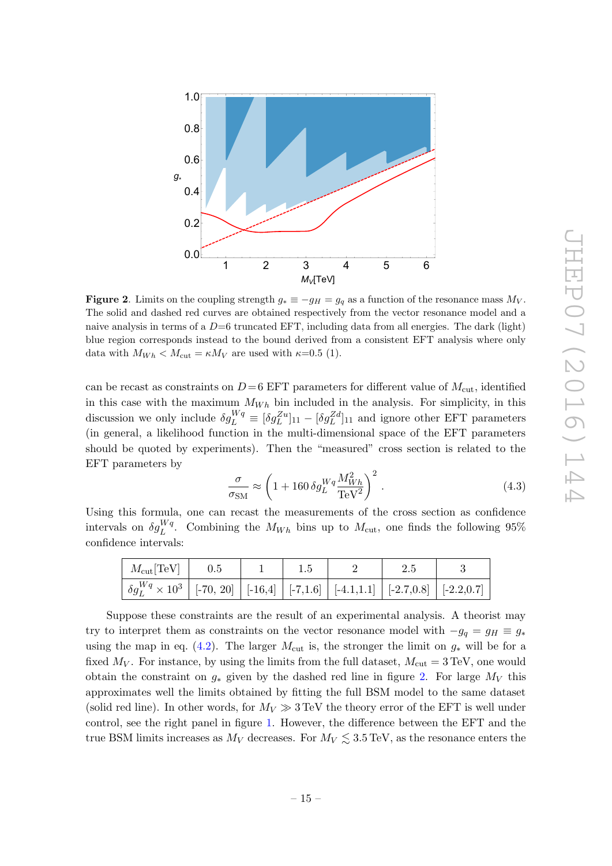

<span id="page-15-0"></span>Figure 2. Limits on the coupling strength  $g_* \equiv -g_H = g_q$  as a function of the resonance mass  $M_V$ . The solid and dashed red curves are obtained respectively from the vector resonance model and a naive analysis in terms of a  $D=6$  truncated EFT, including data from all energies. The dark (light) blue region corresponds instead to the bound derived from a consistent EFT analysis where only data with  $M_{Wh} < M_{\text{cut}} = \kappa M_V$  are used with  $\kappa = 0.5$  (1).

can be recast as constraints on  $D=6$  EFT parameters for different value of  $M_{\text{cut}}$ , identified in this case with the maximum  $M_{Wh}$  bin included in the analysis. For simplicity, in this discussion we only include  $\delta g_L^{Wq} \equiv [\delta g_L^{Zu}]_{11} - [\delta g_L^{Zd}]_{11}$  and ignore other EFT parameters (in general, a likelihood function in the multi-dimensional space of the EFT parameters should be quoted by experiments). Then the "measured" cross section is related to the EFT parameters by

$$
\frac{\sigma}{\sigma_{\text{SM}}} \approx \left(1 + 160 \,\delta g_L^{Wq} \frac{M_{Wh}^2}{\text{TeV}^2}\right)^2. \tag{4.3}
$$

Using this formula, one can recast the measurements of the cross section as confidence intervals on  $\delta g_L^{Wq}$ . Combining the  $M_{Wh}$  bins up to  $M_{\text{cut}}$ , one finds the following 95% confidence intervals:

| $M_{\text{cut}}[\text{TeV}]$   0.5                                                                                                                                                                                                                                                             |  |  |  |
|------------------------------------------------------------------------------------------------------------------------------------------------------------------------------------------------------------------------------------------------------------------------------------------------|--|--|--|
| $\left[ \begin{array}{c c} \delta g_L^{Wq} \times 10^3 & -20 \end{array} \right]$ [-70, 20] $\left[ \begin{array}{c c} -16.4 & -7.1.6 \end{array} \right]$ [-4.1,1.1] $\left[ \begin{array}{c} -2.7,0.8 \end{array} \right]$ [-2.2,0.7] $\left[ \begin{array}{c} -2.2,0.7 \end{array} \right]$ |  |  |  |

Suppose these constraints are the result of an experimental analysis. A theorist may try to interpret them as constraints on the vector resonance model with  $-g_q = g_H \equiv g_*$ using the map in eq. [\(4.2\)](#page-13-2). The larger  $M_{\text{cut}}$  is, the stronger the limit on  $g_*$  will be for a fixed  $M_V$ . For instance, by using the limits from the full dataset,  $M_{\text{cut}} = 3 \,\text{TeV}$ , one would obtain the constraint on  $g_*$  given by the dashed red line in figure [2.](#page-15-0) For large  $M_V$  this approximates well the limits obtained by fitting the full BSM model to the same dataset (solid red line). In other words, for  $M_V \gg 3 \text{ TeV}$  the theory error of the EFT is well under control, see the right panel in figure [1.](#page-14-0) However, the difference between the EFT and the true BSM limits increases as  $M_V$  decreases. For  $M_V \lesssim 3.5 \,\text{TeV}$ , as the resonance enters the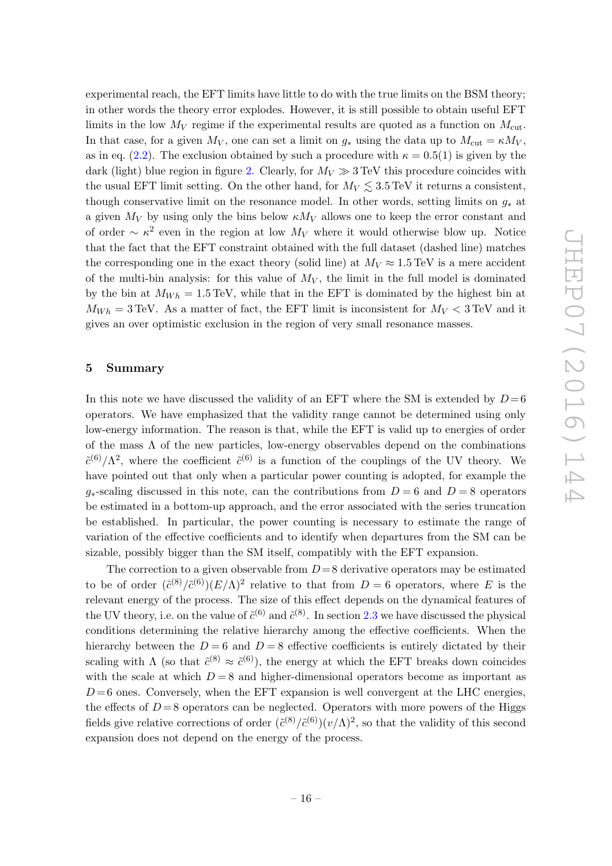experimental reach, the EFT limits have little to do with the true limits on the BSM theory; in other words the theory error explodes. However, it is still possible to obtain useful EFT limits in the low  $M_V$  regime if the experimental results are quoted as a function on  $M_{\text{cut}}$ . In that case, for a given  $M_V$ , one can set a limit on  $g_*$  using the data up to  $M_{\text{cut}} = \kappa M_V$ , as in eq. [\(2.2\)](#page-6-1). The exclusion obtained by such a procedure with  $\kappa = 0.5(1)$  is given by the dark (light) blue region in figure [2.](#page-15-0) Clearly, for  $M_V \gg 3 \text{ TeV}$  this procedure coincides with the usual EFT limit setting. On the other hand, for  $M_V \lesssim 3.5$  TeV it returns a consistent, though conservative limit on the resonance model. In other words, setting limits on  $g_*$  at a given  $M_V$  by using only the bins below  $\kappa M_V$  allows one to keep the error constant and of order  $\sim \kappa^2$  even in the region at low  $M_V$  where it would otherwise blow up. Notice that the fact that the EFT constraint obtained with the full dataset (dashed line) matches the corresponding one in the exact theory (solid line) at  $M_V \approx 1.5 \,\text{TeV}$  is a mere accident of the multi-bin analysis: for this value of  $M_V$ , the limit in the full model is dominated by the bin at  $M_{Wh} = 1.5 \text{ TeV}$ , while that in the EFT is dominated by the highest bin at  $M_{Wh} = 3 \text{ TeV}$ . As a matter of fact, the EFT limit is inconsistent for  $M_V < 3 \text{ TeV}$  and it gives an over optimistic exclusion in the region of very small resonance masses.

# <span id="page-16-0"></span>5 Summary

In this note we have discussed the validity of an EFT where the SM is extended by  $D=6$ operators. We have emphasized that the validity range cannot be determined using only low-energy information. The reason is that, while the EFT is valid up to energies of order of the mass  $\Lambda$  of the new particles, low-energy observables depend on the combinations  $\tilde{c}^{(6)}/\Lambda^2$ , where the coefficient  $\tilde{c}^{(6)}$  is a function of the couplings of the UV theory. We have pointed out that only when a particular power counting is adopted, for example the  $g_*$ -scaling discussed in this note, can the contributions from  $D = 6$  and  $D = 8$  operators be estimated in a bottom-up approach, and the error associated with the series truncation be established. In particular, the power counting is necessary to estimate the range of variation of the effective coefficients and to identify when departures from the SM can be sizable, possibly bigger than the SM itself, compatibly with the EFT expansion.

The correction to a given observable from  $D=8$  derivative operators may be estimated to be of order  $({\tilde{c}}^{(8)}/\tilde{c}^{(6)}) (E/\Lambda)^2$  relative to that from  $D=6$  operators, where E is the relevant energy of the process. The size of this effect depends on the dynamical features of the UV theory, i.e. on the value of  $\tilde{c}^{(6)}$  and  $\tilde{c}^{(8)}$ . In section [2.3](#page-7-0) we have discussed the physical conditions determining the relative hierarchy among the effective coefficients. When the hierarchy between the  $D = 6$  and  $D = 8$  effective coefficients is entirely dictated by their scaling with  $\Lambda$  (so that  $\tilde{c}^{(8)} \approx \tilde{c}^{(6)}$ ), the energy at which the EFT breaks down coincides with the scale at which  $D = 8$  and higher-dimensional operators become as important as  $D=6$  ones. Conversely, when the EFT expansion is well convergent at the LHC energies, the effects of  $D=8$  operators can be neglected. Operators with more powers of the Higgs fields give relative corrections of order  $({\tilde{c}}^{(8)}/\tilde{c}^{(6)})(v/\Lambda)^2$ , so that the validity of this second expansion does not depend on the energy of the process.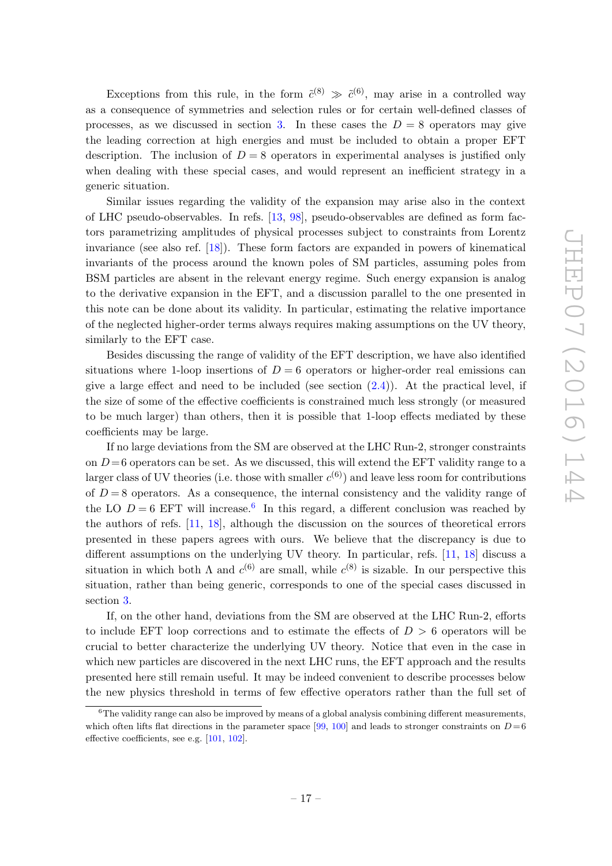Exceptions from this rule, in the form  $\tilde{c}^{(8)} \gg \tilde{c}^{(6)}$ , may arise in a controlled way as a consequence of symmetries and selection rules or for certain well-defined classes of processes, as we discussed in section [3.](#page-10-0) In these cases the  $D = 8$  operators may give the leading correction at high energies and must be included to obtain a proper EFT description. The inclusion of  $D = 8$  operators in experimental analyses is justified only when dealing with these special cases, and would represent an inefficient strategy in a generic situation.

Similar issues regarding the validity of the expansion may arise also in the context of LHC pseudo-observables. In refs. [\[13,](#page-20-7) [98\]](#page-25-6), pseudo-observables are defined as form factors parametrizing amplitudes of physical processes subject to constraints from Lorentz invariance (see also ref. [\[18\]](#page-21-1)). These form factors are expanded in powers of kinematical invariants of the process around the known poles of SM particles, assuming poles from BSM particles are absent in the relevant energy regime. Such energy expansion is analog to the derivative expansion in the EFT, and a discussion parallel to the one presented in this note can be done about its validity. In particular, estimating the relative importance of the neglected higher-order terms always requires making assumptions on the UV theory, similarly to the EFT case.

Besides discussing the range of validity of the EFT description, we have also identified situations where 1-loop insertions of  $D = 6$  operators or higher-order real emissions can give a large effect and need to be included (see section  $(2.4)$ ). At the practical level, if the size of some of the effective coefficients is constrained much less strongly (or measured to be much larger) than others, then it is possible that 1-loop effects mediated by these coefficients may be large.

If no large deviations from the SM are observed at the LHC Run-2, stronger constraints on  $D=6$  operators can be set. As we discussed, this will extend the EFT validity range to a larger class of UV theories (i.e. those with smaller  $c^{(6)}$ ) and leave less room for contributions of  $D = 8$  operators. As a consequence, the internal consistency and the validity range of the LO  $D = 6$  $D = 6$  EFT will increase.<sup>6</sup> In this regard, a different conclusion was reached by the authors of refs. [\[11,](#page-20-6) [18\]](#page-21-1), although the discussion on the sources of theoretical errors presented in these papers agrees with ours. We believe that the discrepancy is due to different assumptions on the underlying UV theory. In particular, refs. [\[11,](#page-20-6) [18\]](#page-21-1) discuss a situation in which both  $\Lambda$  and  $c^{(6)}$  are small, while  $c^{(8)}$  is sizable. In our perspective this situation, rather than being generic, corresponds to one of the special cases discussed in section [3.](#page-10-0)

If, on the other hand, deviations from the SM are observed at the LHC Run-2, efforts to include EFT loop corrections and to estimate the effects of  $D > 6$  operators will be crucial to better characterize the underlying UV theory. Notice that even in the case in which new particles are discovered in the next LHC runs, the EFT approach and the results presented here still remain useful. It may be indeed convenient to describe processes below the new physics threshold in terms of few effective operators rather than the full set of

<span id="page-17-0"></span> $6$ The validity range can also be improved by means of a global analysis combining different measurements, which often lifts flat directions in the parameter space [\[99,](#page-25-7) [100\]](#page-25-8) and leads to stronger constraints on  $D = 6$ effective coefficients, see e.g. [\[101,](#page-25-9) [102\]](#page-25-10).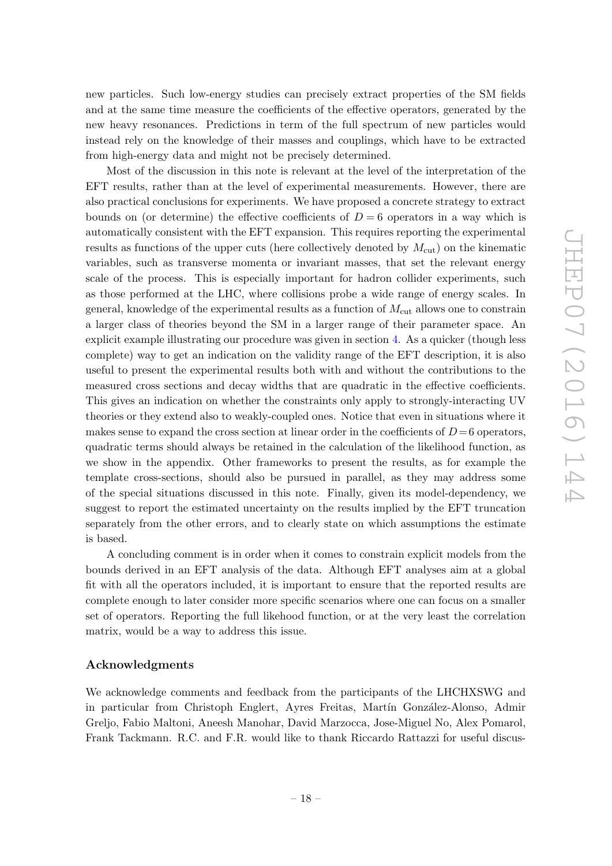new particles. Such low-energy studies can precisely extract properties of the SM fields and at the same time measure the coefficients of the effective operators, generated by the new heavy resonances. Predictions in term of the full spectrum of new particles would instead rely on the knowledge of their masses and couplings, which have to be extracted from high-energy data and might not be precisely determined.

Most of the discussion in this note is relevant at the level of the interpretation of the EFT results, rather than at the level of experimental measurements. However, there are also practical conclusions for experiments. We have proposed a concrete strategy to extract bounds on (or determine) the effective coefficients of  $D=6$  operators in a way which is automatically consistent with the EFT expansion. This requires reporting the experimental results as functions of the upper cuts (here collectively denoted by  $M_{\text{cut}}$ ) on the kinematic variables, such as transverse momenta or invariant masses, that set the relevant energy scale of the process. This is especially important for hadron collider experiments, such as those performed at the LHC, where collisions probe a wide range of energy scales. In general, knowledge of the experimental results as a function of  $M_{\text{cut}}$  allows one to constrain a larger class of theories beyond the SM in a larger range of their parameter space. An explicit example illustrating our procedure was given in section [4.](#page-13-0) As a quicker (though less complete) way to get an indication on the validity range of the EFT description, it is also useful to present the experimental results both with and without the contributions to the measured cross sections and decay widths that are quadratic in the effective coefficients. This gives an indication on whether the constraints only apply to strongly-interacting UV theories or they extend also to weakly-coupled ones. Notice that even in situations where it makes sense to expand the cross section at linear order in the coefficients of  $D=6$  operators, quadratic terms should always be retained in the calculation of the likelihood function, as we show in the appendix. Other frameworks to present the results, as for example the template cross-sections, should also be pursued in parallel, as they may address some of the special situations discussed in this note. Finally, given its model-dependency, we suggest to report the estimated uncertainty on the results implied by the EFT truncation separately from the other errors, and to clearly state on which assumptions the estimate is based.

A concluding comment is in order when it comes to constrain explicit models from the bounds derived in an EFT analysis of the data. Although EFT analyses aim at a global fit with all the operators included, it is important to ensure that the reported results are complete enough to later consider more specific scenarios where one can focus on a smaller set of operators. Reporting the full likehood function, or at the very least the correlation matrix, would be a way to address this issue.

## Acknowledgments

We acknowledge comments and feedback from the participants of the LHCHXSWG and in particular from Christoph Englert, Ayres Freitas, Martín González-Alonso, Admir Greljo, Fabio Maltoni, Aneesh Manohar, David Marzocca, Jose-Miguel No, Alex Pomarol, Frank Tackmann. R.C. and F.R. would like to thank Riccardo Rattazzi for useful discus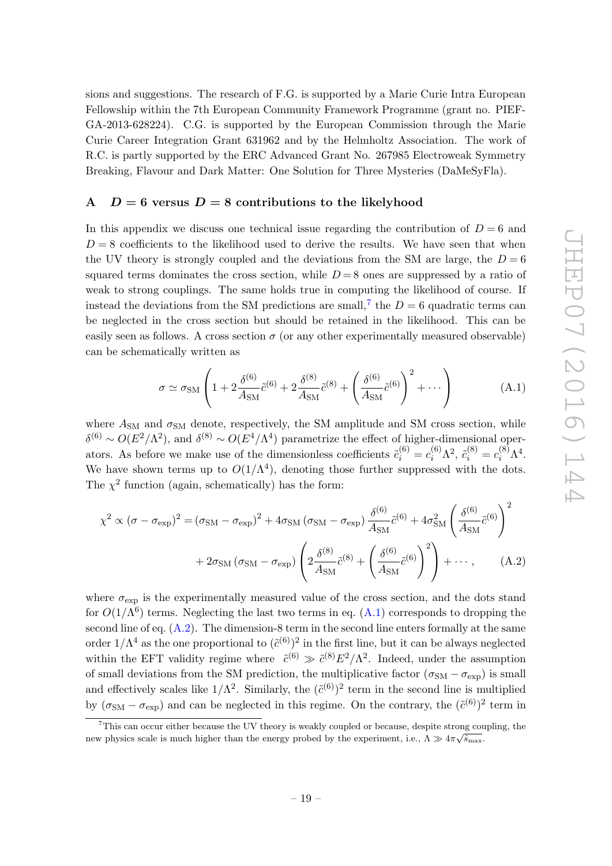sions and suggestions. The research of F.G. is supported by a Marie Curie Intra European Fellowship within the 7th European Community Framework Programme (grant no. PIEF-GA-2013-628224). C.G. is supported by the European Commission through the Marie Curie Career Integration Grant 631962 and by the Helmholtz Association. The work of R.C. is partly supported by the ERC Advanced Grant No. 267985 Electroweak Symmetry Breaking, Flavour and Dark Matter: One Solution for Three Mysteries (DaMeSyFla).

# <span id="page-19-0"></span>A  $D = 6$  versus  $D = 8$  contributions to the likelyhood

In this appendix we discuss one technical issue regarding the contribution of  $D = 6$  and  $D = 8$  coefficients to the likelihood used to derive the results. We have seen that when the UV theory is strongly coupled and the deviations from the SM are large, the  $D=6$ squared terms dominates the cross section, while  $D=8$  ones are suppressed by a ratio of weak to strong couplings. The same holds true in computing the likelihood of course. If instead the deviations from the SM predictions are small,<sup>[7](#page-19-1)</sup> the  $D=6$  quadratic terms can be neglected in the cross section but should be retained in the likelihood. This can be easily seen as follows. A cross section  $\sigma$  (or any other experimentally measured observable) can be schematically written as

<span id="page-19-3"></span><span id="page-19-2"></span>
$$
\sigma \simeq \sigma_{\rm SM} \left( 1 + 2 \frac{\delta^{(6)}}{A_{\rm SM}} \tilde{c}^{(6)} + 2 \frac{\delta^{(8)}}{A_{\rm SM}} \tilde{c}^{(8)} + \left( \frac{\delta^{(6)}}{A_{\rm SM}} \tilde{c}^{(6)} \right)^2 + \cdots \right) \tag{A.1}
$$

where  $A_{\text{SM}}$  and  $\sigma_{\text{SM}}$  denote, respectively, the SM amplitude and SM cross section, while  $\delta^{(6)} \sim O(E^2/\Lambda^2)$ , and  $\delta^{(8)} \sim O(E^4/\Lambda^4)$  parametrize the effect of higher-dimensional operators. As before we make use of the dimensionless coefficients  $\tilde{c}_i^{(6)} = c_i^{(6)} \Lambda^2$ ,  $\tilde{c}_i^{(8)} = c_i^{(8)} \Lambda^4$ . We have shown terms up to  $O(1/\Lambda^4)$ , denoting those further suppressed with the dots. The  $\chi^2$  function (again, schematically) has the form:

$$
\chi^2 \propto (\sigma - \sigma_{\text{exp}})^2 = (\sigma_{\text{SM}} - \sigma_{\text{exp}})^2 + 4\sigma_{\text{SM}} (\sigma_{\text{SM}} - \sigma_{\text{exp}}) \frac{\delta^{(6)}}{A_{\text{SM}}} \tilde{c}^{(6)} + 4\sigma_{\text{SM}}^2 \left(\frac{\delta^{(6)}}{A_{\text{SM}}} \tilde{c}^{(6)}\right)^2
$$

$$
+ 2\sigma_{\text{SM}} (\sigma_{\text{SM}} - \sigma_{\text{exp}}) \left(2\frac{\delta^{(8)}}{A_{\text{SM}}} \tilde{c}^{(8)} + \left(\frac{\delta^{(6)}}{A_{\text{SM}}} \tilde{c}^{(6)}\right)^2\right) + \cdots, \qquad (A.2)
$$

where  $\sigma_{\text{exp}}$  is the experimentally measured value of the cross section, and the dots stand for  $O(1/\Lambda^6)$  terms. Neglecting the last two terms in eq. [\(A.1\)](#page-19-2) corresponds to dropping the second line of eq.  $(A.2)$ . The dimension-8 term in the second line enters formally at the same order  $1/\Lambda^4$  as the one proportional to  $({\tilde{c}}^{(6)})^2$  in the first line, but it can be always neglected within the EFT validity regime where  $\tilde{c}^{(6)} \gg \tilde{c}^{(8)} E^2/\Lambda^2$ . Indeed, under the assumption of small deviations from the SM prediction, the multiplicative factor  $(\sigma_{SM} - \sigma_{\rm exp})$  is small and effectively scales like  $1/\Lambda^2$ . Similarly, the  $({\tilde{c}}^{(6)})^2$  term in the second line is multiplied by  $(\sigma_{\text{SM}} - \sigma_{\text{exp}})$  and can be neglected in this regime. On the contrary, the  $({\tilde{c}}^{(6)})^2$  term in

<span id="page-19-1"></span><sup>&</sup>lt;sup>7</sup>This can occur either because the UV theory is weakly coupled or because, despite strong coupling, the new physics scale is much higher than the energy probed by the experiment, i.e.,  $\Lambda \gg 4\pi\sqrt{\hat{s}_{\text{max}}}$ .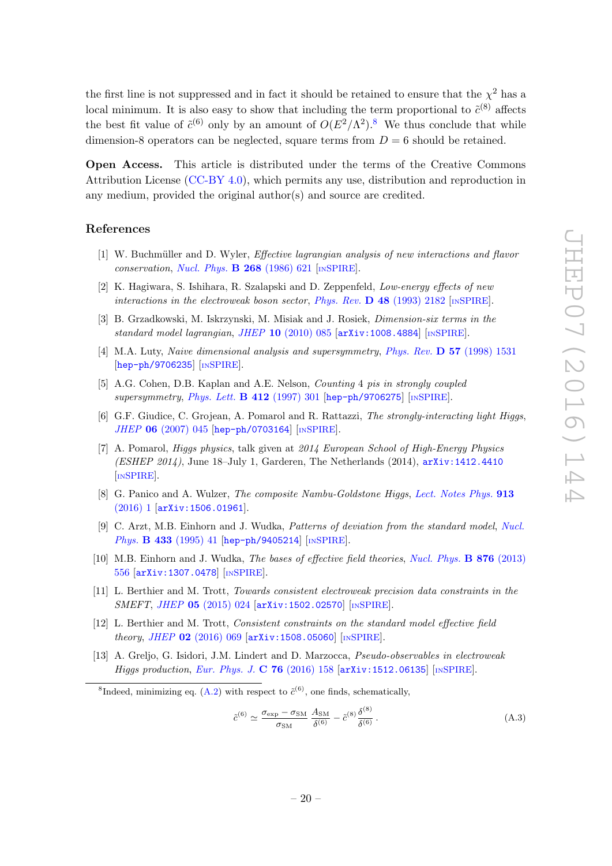the first line is not suppressed and in fact it should be retained to ensure that the  $\chi^2$  has a local minimum. It is also easy to show that including the term proportional to  $\tilde{c}^{(8)}$  affects the best fit value of  $\tilde{c}^{(6)}$  only by an amount of  $O(E^2/\Lambda^2)$ .<sup>[8](#page-20-11)</sup> We thus conclude that while dimension-8 operators can be neglected, square terms from  $D = 6$  should be retained.

Open Access. This article is distributed under the terms of the Creative Commons Attribution License [\(CC-BY 4.0\)](http://creativecommons.org/licenses/by/4.0/), which permits any use, distribution and reproduction in any medium, provided the original author(s) and source are credited.

## References

- <span id="page-20-0"></span>[1] W. Buchmüller and D. Wyler, *Effective lagrangian analysis of new interactions and flavor* conservation, [Nucl. Phys.](http://dx.doi.org/10.1016/0550-3213(86)90262-2)  $\bf{B}$  268 (1986) 621 [IN[SPIRE](http://inspirehep.net/search?p=find+J+%22Nucl.Phys.,B268,621%22)].
- [2] K. Hagiwara, S. Ishihara, R. Szalapski and D. Zeppenfeld, Low-energy effects of new interactions in the electroweak boson sector, Phys. Rev.  $\bf{D}$  48 [\(1993\) 2182](http://dx.doi.org/10.1103/PhysRevD.48.2182) [IN[SPIRE](http://inspirehep.net/search?p=find+J+%22Phys.Rev.,D48,2182%22)].
- <span id="page-20-1"></span>[3] B. Grzadkowski, M. Iskrzynski, M. Misiak and J. Rosiek, Dimension-six terms in the standard model lagrangian, JHEP 10 [\(2010\) 085](http://dx.doi.org/10.1007/JHEP10(2010)085) [[arXiv:1008.4884](http://arxiv.org/abs/1008.4884)] [IN[SPIRE](http://inspirehep.net/search?p=find+EPRINT+arXiv:1008.4884)].
- <span id="page-20-2"></span>[4] M.A. Luty, Naive dimensional analysis and supersymmetry, Phys. Rev. D 57 [\(1998\) 1531](http://dx.doi.org/10.1103/PhysRevD.57.1531) [[hep-ph/9706235](http://arxiv.org/abs/hep-ph/9706235)] [IN[SPIRE](http://inspirehep.net/search?p=find+EPRINT+hep-ph/9706235)].
- <span id="page-20-10"></span>[5] A.G. Cohen, D.B. Kaplan and A.E. Nelson, Counting 4 pis in strongly coupled supersymmetry, [Phys. Lett.](http://dx.doi.org/10.1016/S0370-2693(97)00995-7) **B 412** (1997) 301 [[hep-ph/9706275](http://arxiv.org/abs/hep-ph/9706275)] [IN[SPIRE](http://inspirehep.net/search?p=find+EPRINT+hep-ph/9706275)].
- <span id="page-20-3"></span>[6] G.F. Giudice, C. Grojean, A. Pomarol and R. Rattazzi, The strongly-interacting light Higgs, JHEP 06 [\(2007\) 045](http://dx.doi.org/10.1088/1126-6708/2007/06/045) [[hep-ph/0703164](http://arxiv.org/abs/hep-ph/0703164)] [IN[SPIRE](http://inspirehep.net/search?p=find+EPRINT+hep-ph/0703164)].
- <span id="page-20-4"></span>[7] A. Pomarol, Higgs physics, talk given at 2014 European School of High-Energy Physics (ESHEP 2014), June 18–July 1, Garderen, The Netherlands (2014), [arXiv:1412.4410](http://arxiv.org/abs/1412.4410) [IN[SPIRE](http://inspirehep.net/search?p=find+EPRINT+arXiv:1412.4410)].
- <span id="page-20-5"></span>[8] G. Panico and A. Wulzer, The composite Nambu-Goldstone Higgs, [Lect. Notes Phys.](http://dx.doi.org/10.1007/978-3-319-22617-0) 913 [\(2016\) 1](http://dx.doi.org/10.1007/978-3-319-22617-0) [[arXiv:1506.01961](http://arxiv.org/abs/1506.01961)].
- <span id="page-20-9"></span>[9] C. Arzt, M.B. Einhorn and J. Wudka, Patterns of deviation from the standard model, [Nucl.](http://dx.doi.org/10.1016/0550-3213(94)00336-D) Phys. **B 433** [\(1995\) 41](http://dx.doi.org/10.1016/0550-3213(94)00336-D) [[hep-ph/9405214](http://arxiv.org/abs/hep-ph/9405214)] [IN[SPIRE](http://inspirehep.net/search?p=find+EPRINT+hep-ph/9405214)].
- <span id="page-20-8"></span>[10] M.B. Einhorn and J. Wudka, *The bases of effective field theories*, *[Nucl. Phys.](http://dx.doi.org/10.1016/j.nuclphysb.2013.08.023)* **B 876** (2013) [556](http://dx.doi.org/10.1016/j.nuclphysb.2013.08.023) [[arXiv:1307.0478](http://arxiv.org/abs/1307.0478)] [IN[SPIRE](http://inspirehep.net/search?p=find+EPRINT+arXiv:1307.0478)].
- <span id="page-20-6"></span>[11] L. Berthier and M. Trott, Towards consistent electroweak precision data constraints in the SMEFT, JHEP 05 [\(2015\) 024](http://dx.doi.org/10.1007/JHEP05(2015)024) [[arXiv:1502.02570](http://arxiv.org/abs/1502.02570)] [IN[SPIRE](http://inspirehep.net/search?p=find+EPRINT+arXiv:1502.02570)].
- [12] L. Berthier and M. Trott, Consistent constraints on the standard model effective field theory, JHEP 02 [\(2016\) 069](http://dx.doi.org/10.1007/JHEP02(2016)069) [[arXiv:1508.05060](http://arxiv.org/abs/1508.05060)] [IN[SPIRE](http://inspirehep.net/search?p=find+EPRINT+arXiv:1508.05060)].
- <span id="page-20-7"></span>[13] A. Greljo, G. Isidori, J.M. Lindert and D. Marzocca, Pseudo-observables in electroweak Higgs production, [Eur. Phys. J.](http://dx.doi.org/10.1140/epjc/s10052-016-4000-5) C 76 (2016) 158 [[arXiv:1512.06135](http://arxiv.org/abs/1512.06135)] [IN[SPIRE](http://inspirehep.net/search?p=find+EPRINT+arXiv:1512.06135)].

<span id="page-20-11"></span><sup>8</sup>Indeed, minimizing eq. [\(A.2\)](#page-19-3) with respect to  $\tilde{c}^{(6)}$ , one finds, schematically,

$$
\tilde{c}^{(6)} \simeq \frac{\sigma_{\text{exp}} - \sigma_{\text{SM}}}{\sigma_{\text{SM}}} \frac{A_{\text{SM}}}{\delta^{(6)}} - \tilde{c}^{(8)} \frac{\delta^{(8)}}{\delta^{(6)}}.
$$
\n(A.3)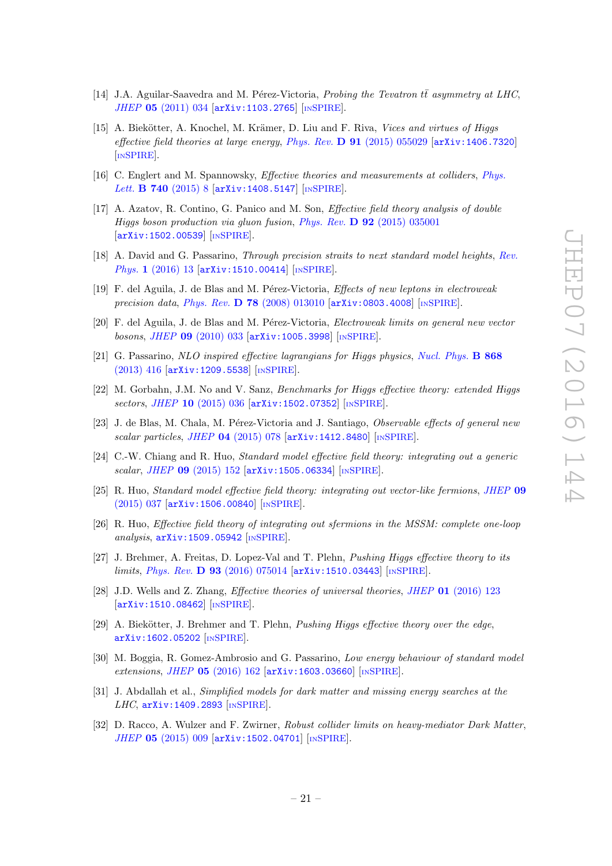- <span id="page-21-0"></span>[14] J.A. Aguilar-Saavedra and M. Pérez-Victoria, *Probing the Tevatron tta asymmetry at LHC*, JHEP 05 [\(2011\) 034](http://dx.doi.org/10.1007/JHEP05(2011)034) [[arXiv:1103.2765](http://arxiv.org/abs/1103.2765)] [IN[SPIRE](http://inspirehep.net/search?p=find+EPRINT+arXiv:1103.2765)].
- <span id="page-21-7"></span>[15] A. Biekötter, A. Knochel, M. Krämer, D. Liu and F. Riva, Vices and virtues of Higgs effective field theories at large energy, Phys. Rev.  $D 91 (2015) 055029$  $D 91 (2015) 055029$  [[arXiv:1406.7320](http://arxiv.org/abs/1406.7320)] [IN[SPIRE](http://inspirehep.net/search?p=find+EPRINT+arXiv:1406.7320)].
- [16] C. Englert and M. Spannowsky, Effective theories and measurements at colliders, [Phys.](http://dx.doi.org/10.1016/j.physletb.2014.11.035) Lett. **B 740** [\(2015\) 8](http://dx.doi.org/10.1016/j.physletb.2014.11.035) [[arXiv:1408.5147](http://arxiv.org/abs/1408.5147)] [IN[SPIRE](http://inspirehep.net/search?p=find+EPRINT+arXiv:1408.5147)].
- <span id="page-21-6"></span>[17] A. Azatov, R. Contino, G. Panico and M. Son, Effective field theory analysis of double Higgs boson production via gluon fusion, Phys. Rev. D 92 [\(2015\) 035001](http://dx.doi.org/10.1103/PhysRevD.92.035001) [[arXiv:1502.00539](http://arxiv.org/abs/1502.00539)] [IN[SPIRE](http://inspirehep.net/search?p=find+EPRINT+arXiv:1502.00539)].
- <span id="page-21-1"></span>[18] A. David and G. Passarino, *Through precision straits to next standard model heights*, [Rev.](http://dx.doi.org/10.1016/j.revip.2016.01.001) Phys. 1 [\(2016\) 13](http://dx.doi.org/10.1016/j.revip.2016.01.001) [[arXiv:1510.00414](http://arxiv.org/abs/1510.00414)] [IN[SPIRE](http://inspirehep.net/search?p=find+EPRINT+arXiv:1510.00414)].
- <span id="page-21-2"></span>[19] F. del Aguila, J. de Blas and M. Pérez-Victoria, *Effects of new leptons in electroweak* precision data, Phys. Rev. D 78 [\(2008\) 013010](http://dx.doi.org/10.1103/PhysRevD.78.013010)  $arXiv:0803.4008$  [IN[SPIRE](http://inspirehep.net/search?p=find+EPRINT+arXiv:0803.4008)].
- [20] F. del Aguila, J. de Blas and M. Pérez-Victoria, *Electroweak limits on general new vector* bosons, JHEP 09 [\(2010\) 033](http://dx.doi.org/10.1007/JHEP09(2010)033) [[arXiv:1005.3998](http://arxiv.org/abs/1005.3998)] [IN[SPIRE](http://inspirehep.net/search?p=find+EPRINT+arXiv:1005.3998)].
- [21] G. Passarino, NLO inspired effective lagrangians for Higgs physics, [Nucl. Phys.](http://dx.doi.org/10.1016/j.nuclphysb.2012.11.018) B 868 [\(2013\) 416](http://dx.doi.org/10.1016/j.nuclphysb.2012.11.018) [[arXiv:1209.5538](http://arxiv.org/abs/1209.5538)] [IN[SPIRE](http://inspirehep.net/search?p=find+EPRINT+arXiv:1209.5538)].
- [22] M. Gorbahn, J.M. No and V. Sanz, Benchmarks for Higgs effective theory: extended Higgs sectors, JHEP 10 [\(2015\) 036](http://dx.doi.org/10.1007/JHEP10(2015)036) [[arXiv:1502.07352](http://arxiv.org/abs/1502.07352)] [IN[SPIRE](http://inspirehep.net/search?p=find+EPRINT+arXiv:1502.07352)].
- [23] J. de Blas, M. Chala, M. Pérez-Victoria and J. Santiago, Observable effects of general new scalar particles, JHEP 04 [\(2015\) 078](http://dx.doi.org/10.1007/JHEP04(2015)078) [[arXiv:1412.8480](http://arxiv.org/abs/1412.8480)] [IN[SPIRE](http://inspirehep.net/search?p=find+EPRINT+arXiv:1412.8480)].
- [24] C.-W. Chiang and R. Huo, Standard model effective field theory: integrating out a generic scalar, JHEP 09 [\(2015\) 152](http://dx.doi.org/10.1007/JHEP09(2015)152) [[arXiv:1505.06334](http://arxiv.org/abs/1505.06334)] [IN[SPIRE](http://inspirehep.net/search?p=find+EPRINT+arXiv:1505.06334)].
- [25] R. Huo, *Standard model effective field theory: integrating out vector-like fermions, [JHEP](http://dx.doi.org/10.1007/JHEP09(2015)037)* 09 [\(2015\) 037](http://dx.doi.org/10.1007/JHEP09(2015)037) [[arXiv:1506.00840](http://arxiv.org/abs/1506.00840)] [IN[SPIRE](http://inspirehep.net/search?p=find+EPRINT+arXiv:1506.00840)].
- [26] R. Huo, Effective field theory of integrating out sfermions in the MSSM: complete one-loop analysis, [arXiv:1509.05942](http://arxiv.org/abs/1509.05942) [IN[SPIRE](http://inspirehep.net/search?p=find+EPRINT+arXiv:1509.05942)].
- [27] J. Brehmer, A. Freitas, D. Lopez-Val and T. Plehn, Pushing Higgs effective theory to its limits, Phys. Rev. D 93 [\(2016\) 075014](http://dx.doi.org/10.1103/PhysRevD.93.075014)  $arXiv:1510.03443$  [IN[SPIRE](http://inspirehep.net/search?p=find+EPRINT+arXiv:1510.03443)].
- [28] J.D. Wells and Z. Zhang, Effective theories of universal theories, JHEP 01 [\(2016\) 123](http://dx.doi.org/10.1007/JHEP01(2016)123) [[arXiv:1510.08462](http://arxiv.org/abs/1510.08462)] [IN[SPIRE](http://inspirehep.net/search?p=find+EPRINT+arXiv:1510.08462)].
- <span id="page-21-8"></span>[29] A. Biekötter, J. Brehmer and T. Plehn, Pushing Higgs effective theory over the edge, [arXiv:1602.05202](http://arxiv.org/abs/1602.05202) [IN[SPIRE](http://inspirehep.net/search?p=find+EPRINT+arXiv:1602.05202)].
- <span id="page-21-3"></span>[30] M. Boggia, R. Gomez-Ambrosio and G. Passarino, Low energy behaviour of standard model extensions, JHEP 05 [\(2016\) 162](http://dx.doi.org/10.1007/JHEP05(2016)162) [[arXiv:1603.03660](http://arxiv.org/abs/1603.03660)] [IN[SPIRE](http://inspirehep.net/search?p=find+EPRINT+arXiv:1603.03660)].
- <span id="page-21-4"></span>[31] J. Abdallah et al., Simplified models for dark matter and missing energy searches at the LHC, [arXiv:1409.2893](http://arxiv.org/abs/1409.2893) [IN[SPIRE](http://inspirehep.net/search?p=find+EPRINT+arXiv:1409.2893)].
- <span id="page-21-5"></span>[32] D. Racco, A. Wulzer and F. Zwirner, Robust collider limits on heavy-mediator Dark Matter, JHEP 05 [\(2015\) 009](http://dx.doi.org/10.1007/JHEP05(2015)009) [[arXiv:1502.04701](http://arxiv.org/abs/1502.04701)] [IN[SPIRE](http://inspirehep.net/search?p=find+EPRINT+arXiv:1502.04701)].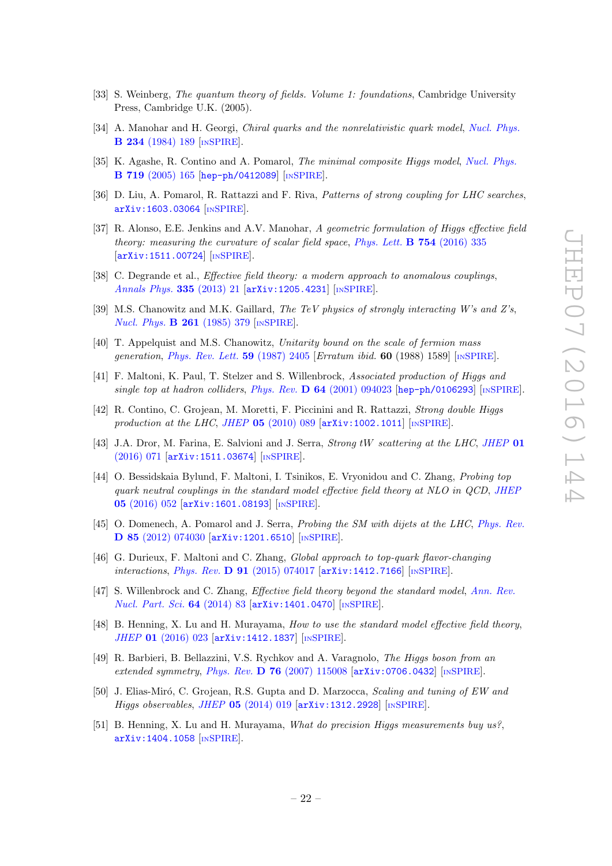- <span id="page-22-0"></span>[33] S. Weinberg, The quantum theory of fields. Volume 1: foundations, Cambridge University Press, Cambridge U.K. (2005).
- <span id="page-22-1"></span>[34] A. Manohar and H. Georgi, *Chiral quarks and the nonrelativistic quark model, [Nucl. Phys.](http://dx.doi.org/10.1016/0550-3213(84)90231-1)* B 234 [\(1984\) 189](http://dx.doi.org/10.1016/0550-3213(84)90231-1) [IN[SPIRE](http://inspirehep.net/search?p=find+J+%22Nucl.Phys.,B234,189%22)].
- <span id="page-22-2"></span>[35] K. Agashe, R. Contino and A. Pomarol, The minimal composite Higgs model, [Nucl. Phys.](http://dx.doi.org/10.1016/j.nuclphysb.2005.04.035) B 719 [\(2005\) 165](http://dx.doi.org/10.1016/j.nuclphysb.2005.04.035) [[hep-ph/0412089](http://arxiv.org/abs/hep-ph/0412089)] [IN[SPIRE](http://inspirehep.net/search?p=find+EPRINT+hep-ph/0412089)].
- <span id="page-22-3"></span>[36] D. Liu, A. Pomarol, R. Rattazzi and F. Riva, Patterns of strong coupling for LHC searches, [arXiv:1603.03064](http://arxiv.org/abs/1603.03064) [IN[SPIRE](http://inspirehep.net/search?p=find+EPRINT+arXiv:1603.03064)].
- <span id="page-22-4"></span>[37] R. Alonso, E.E. Jenkins and A.V. Manohar, A geometric formulation of Higgs effective field theory: measuring the curvature of scalar field space, [Phys. Lett.](http://dx.doi.org/10.1016/j.physletb.2016.01.041)  $\bf{B}$  754 (2016) 335 [[arXiv:1511.00724](http://arxiv.org/abs/1511.00724)] [IN[SPIRE](http://inspirehep.net/search?p=find+EPRINT+arXiv:1511.00724)].
- <span id="page-22-5"></span>[38] C. Degrande et al., *Effective field theory: a modern approach to anomalous couplings*, [Annals Phys.](http://dx.doi.org/10.1016/j.aop.2013.04.016) 335 (2013) 21 [[arXiv:1205.4231](http://arxiv.org/abs/1205.4231)] [IN[SPIRE](http://inspirehep.net/search?p=find+EPRINT+arXiv:1205.4231)].
- <span id="page-22-6"></span>[39] M.S. Chanowitz and M.K. Gaillard, The TeV physics of strongly interacting W's and Z's, [Nucl. Phys.](http://dx.doi.org/10.1016/0550-3213(85)90580-2) B 261 (1985) 379 [IN[SPIRE](http://inspirehep.net/search?p=find+J+%22Nucl.Phys.,B261,379%22)].
- [40] T. Appelquist and M.S. Chanowitz, Unitarity bound on the scale of fermion mass generation, [Phys. Rev. Lett.](http://dx.doi.org/10.1103/PhysRevLett.59.2405) 59 (1987) 2405 [Erratum ibid. 60 (1988) 1589] [IN[SPIRE](http://inspirehep.net/search?p=find+J+%22Phys.Rev.Lett.,59,2405%22)].
- [41] F. Maltoni, K. Paul, T. Stelzer and S. Willenbrock, Associated production of Higgs and single top at hadron colliders, Phys. Rev.  $\bf{D} 64$  [\(2001\) 094023](http://dx.doi.org/10.1103/PhysRevD.64.094023) [[hep-ph/0106293](http://arxiv.org/abs/hep-ph/0106293)] [IN[SPIRE](http://inspirehep.net/search?p=find+EPRINT+hep-ph/0106293)].
- [42] R. Contino, C. Grojean, M. Moretti, F. Piccinini and R. Rattazzi, Strong double Higgs production at the LHC, JHEP  $05$  [\(2010\) 089](http://dx.doi.org/10.1007/JHEP05(2010)089) [[arXiv:1002.1011](http://arxiv.org/abs/1002.1011)] [IN[SPIRE](http://inspirehep.net/search?p=find+EPRINT+arXiv:1002.1011)].
- <span id="page-22-9"></span>[43] J.A. Dror, M. Farina, E. Salvioni and J. Serra, *Strong tW scattering at the LHC*, [JHEP](http://dx.doi.org/10.1007/JHEP01(2016)071) 01 [\(2016\) 071](http://dx.doi.org/10.1007/JHEP01(2016)071) [[arXiv:1511.03674](http://arxiv.org/abs/1511.03674)] [IN[SPIRE](http://inspirehep.net/search?p=find+EPRINT+arXiv:1511.03674)].
- <span id="page-22-7"></span>[44] O. Bessidskaia Bylund, F. Maltoni, I. Tsinikos, E. Vryonidou and C. Zhang, Probing top quark neutral couplings in the standard model effective field theory at NLO in QCD, [JHEP](http://dx.doi.org/10.1007/JHEP05(2016)052) 05 [\(2016\) 052](http://dx.doi.org/10.1007/JHEP05(2016)052) [[arXiv:1601.08193](http://arxiv.org/abs/1601.08193)] [IN[SPIRE](http://inspirehep.net/search?p=find+EPRINT+arXiv:1601.08193)].
- <span id="page-22-8"></span>[45] O. Domenech, A. Pomarol and J. Serra, *Probing the SM with dijets at the LHC*, *[Phys. Rev.](http://dx.doi.org/10.1103/PhysRevD.85.074030)* D 85 [\(2012\) 074030](http://dx.doi.org/10.1103/PhysRevD.85.074030) [[arXiv:1201.6510](http://arxiv.org/abs/1201.6510)] [IN[SPIRE](http://inspirehep.net/search?p=find+EPRINT+arXiv:1201.6510)].
- <span id="page-22-10"></span>[46] G. Durieux, F. Maltoni and C. Zhang, Global approach to top-quark flavor-changing interactions, Phys. Rev.  $\bf{D}$  91 [\(2015\) 074017](http://dx.doi.org/10.1103/PhysRevD.91.074017) [[arXiv:1412.7166](http://arxiv.org/abs/1412.7166)] [IN[SPIRE](http://inspirehep.net/search?p=find+EPRINT+arXiv:1412.7166)].
- <span id="page-22-11"></span>[47] S. Willenbrock and C. Zhang, *Effective field theory beyond the standard model*, [Ann. Rev.](http://dx.doi.org/10.1146/annurev-nucl-102313-025623) [Nucl. Part. Sci.](http://dx.doi.org/10.1146/annurev-nucl-102313-025623) 64 (2014) 83 [[arXiv:1401.0470](http://arxiv.org/abs/1401.0470)] [IN[SPIRE](http://inspirehep.net/search?p=find+EPRINT+arXiv:1401.0470)].
- <span id="page-22-12"></span>[48] B. Henning, X. Lu and H. Murayama, *How to use the standard model effective field theory*, JHEP 01 [\(2016\) 023](http://dx.doi.org/10.1007/JHEP01(2016)023) [[arXiv:1412.1837](http://arxiv.org/abs/1412.1837)] [IN[SPIRE](http://inspirehep.net/search?p=find+EPRINT+arXiv:1412.1837)].
- <span id="page-22-13"></span>[49] R. Barbieri, B. Bellazzini, V.S. Rychkov and A. Varagnolo, The Higgs boson from an extended symmetry, Phys. Rev. D 76 [\(2007\) 115008](http://dx.doi.org/10.1103/PhysRevD.76.115008)  $[$ [arXiv:0706.0432](http://arxiv.org/abs/0706.0432) $]$  [IN[SPIRE](http://inspirehep.net/search?p=find+EPRINT+arXiv:0706.0432)].
- <span id="page-22-15"></span>[50] J. Elias-Miró, C. Grojean, R.S. Gupta and D. Marzocca, Scaling and tuning of EW and Higgs observables, JHEP 05 [\(2014\) 019](http://dx.doi.org/10.1007/JHEP05(2014)019) [[arXiv:1312.2928](http://arxiv.org/abs/1312.2928)] [IN[SPIRE](http://inspirehep.net/search?p=find+EPRINT+arXiv:1312.2928)].
- <span id="page-22-14"></span>[51] B. Henning, X. Lu and H. Murayama, What do precision Higgs measurements buy us?, [arXiv:1404.1058](http://arxiv.org/abs/1404.1058) [IN[SPIRE](http://inspirehep.net/search?p=find+EPRINT+arXiv:1404.1058)].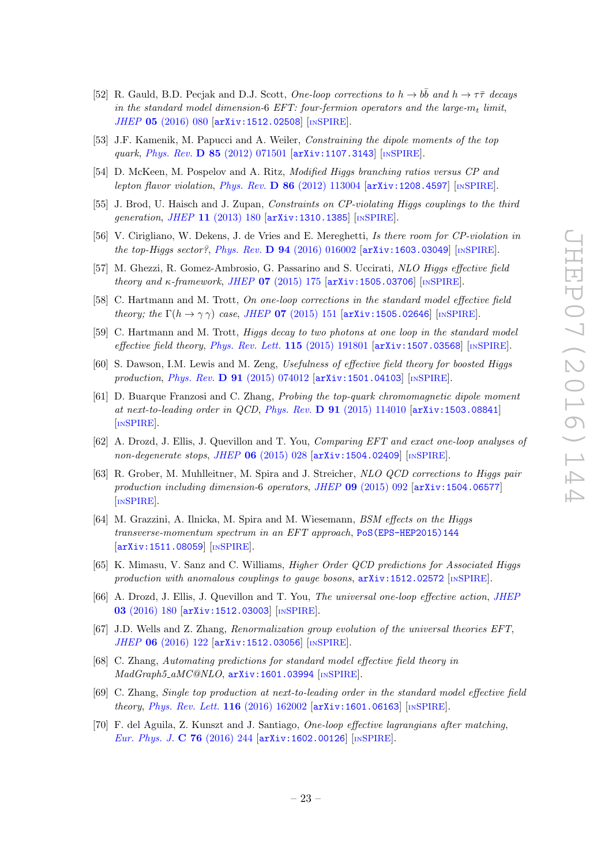- <span id="page-23-0"></span>[52] R. Gauld, B.D. Pecjak and D.J. Scott, One-loop corrections to  $h \to b\bar{b}$  and  $h \to \tau\bar{\tau}$  decays in the standard model dimension-6 EFT: four-fermion operators and the large- $m_t$  limit, JHEP 05 [\(2016\) 080](http://dx.doi.org/10.1007/JHEP05(2016)080) [[arXiv:1512.02508](http://arxiv.org/abs/1512.02508)] [IN[SPIRE](http://inspirehep.net/search?p=find+EPRINT+arXiv:1512.02508)].
- <span id="page-23-1"></span>[53] J.F. Kamenik, M. Papucci and A. Weiler, Constraining the dipole moments of the top quark, Phys. Rev. D 85 [\(2012\) 071501](http://dx.doi.org/10.1103/PhysRevD.88.039903) [[arXiv:1107.3143](http://arxiv.org/abs/1107.3143)] [IN[SPIRE](http://inspirehep.net/search?p=find+EPRINT+arXiv:1107.3143)].
- [54] D. McKeen, M. Pospelov and A. Ritz, Modified Higgs branching ratios versus CP and lepton flavor violation, Phys. Rev. D 86 [\(2012\) 113004](http://dx.doi.org/10.1103/PhysRevD.86.113004) [[arXiv:1208.4597](http://arxiv.org/abs/1208.4597)] [IN[SPIRE](http://inspirehep.net/search?p=find+EPRINT+arXiv:1208.4597)].
- [55] J. Brod, U. Haisch and J. Zupan, Constraints on CP-violating Higgs couplings to the third generation, JHEP 11 [\(2013\) 180](http://dx.doi.org/10.1007/JHEP11(2013)180) [[arXiv:1310.1385](http://arxiv.org/abs/1310.1385)] [IN[SPIRE](http://inspirehep.net/search?p=find+EPRINT+arXiv:1310.1385)].
- <span id="page-23-2"></span>[56] V. Cirigliano, W. Dekens, J. de Vries and E. Mereghetti, Is there room for CP-violation in the top-Higgs sector?, Phys. Rev. D 94 [\(2016\) 016002](http://dx.doi.org/10.1103/PhysRevD.94.016002)  $arXiv:1603.03049$  [IN[SPIRE](http://inspirehep.net/search?p=find+EPRINT+arXiv:1603.03049)].
- <span id="page-23-3"></span>[57] M. Ghezzi, R. Gomez-Ambrosio, G. Passarino and S. Uccirati, NLO Higgs effective field theory and  $\kappa$ -framework, JHEP 07 [\(2015\) 175](http://dx.doi.org/10.1007/JHEP07(2015)175)  $\left[$ [arXiv:1505.03706](http://arxiv.org/abs/1505.03706) $\right]$   $\left[$ IN[SPIRE](http://inspirehep.net/search?p=find+EPRINT+arXiv:1505.03706) $\right]$ .
- [58] C. Hartmann and M. Trott, On one-loop corrections in the standard model effective field theory; the  $\Gamma(h \to \gamma \gamma)$  case, JHEP 07 [\(2015\) 151](http://dx.doi.org/10.1007/JHEP07(2015)151) [[arXiv:1505.02646](http://arxiv.org/abs/1505.02646)] [IN[SPIRE](http://inspirehep.net/search?p=find+EPRINT+arXiv:1505.02646)].
- <span id="page-23-4"></span>[59] C. Hartmann and M. Trott, Higgs decay to two photons at one loop in the standard model effective field theory, [Phys. Rev. Lett.](http://dx.doi.org/10.1103/PhysRevLett.115.191801)  $115$  (2015) 191801  $\text{arXiv:1507.03568}$  $\text{arXiv:1507.03568}$  $\text{arXiv:1507.03568}$  [IN[SPIRE](http://inspirehep.net/search?p=find+EPRINT+arXiv:1507.03568)].
- [60] S. Dawson, I.M. Lewis and M. Zeng, Usefulness of effective field theory for boosted Higgs production, *Phys. Rev.* **D 91** [\(2015\) 074012](http://dx.doi.org/10.1103/PhysRevD.91.074012) [[arXiv:1501.04103](http://arxiv.org/abs/1501.04103)] [IN[SPIRE](http://inspirehep.net/search?p=find+EPRINT+arXiv:1501.04103)].
- [61] D. Buarque Franzosi and C. Zhang, Probing the top-quark chromomagnetic dipole moment at next-to-leading order in QCD, Phys. Rev. D 91 [\(2015\) 114010](http://dx.doi.org/10.1103/PhysRevD.91.114010) [[arXiv:1503.08841](http://arxiv.org/abs/1503.08841)] [IN[SPIRE](http://inspirehep.net/search?p=find+EPRINT+arXiv:1503.08841)].
- [62] A. Drozd, J. Ellis, J. Quevillon and T. You, Comparing EFT and exact one-loop analyses of non-degenerate stops, JHEP 06 [\(2015\) 028](http://dx.doi.org/10.1007/JHEP06(2015)028) [[arXiv:1504.02409](http://arxiv.org/abs/1504.02409)] [IN[SPIRE](http://inspirehep.net/search?p=find+EPRINT+arXiv:1504.02409)].
- [63] R. Grober, M. Muhlleitner, M. Spira and J. Streicher, NLO QCD corrections to Higgs pair production including dimension-6 operators, JHEP  $\bf{09}$  [\(2015\) 092](http://dx.doi.org/10.1007/JHEP09(2015)092) [[arXiv:1504.06577](http://arxiv.org/abs/1504.06577)] [IN[SPIRE](http://inspirehep.net/search?p=find+EPRINT+arXiv:1504.06577)].
- [64] M. Grazzini, A. Ilnicka, M. Spira and M. Wiesemann, BSM effects on the Higgs transverse-momentum spectrum in an EFT approach, [PoS\(EPS-HEP2015\)144](http://pos.sissa.it/cgi-bin/reader/contribution.cgi?id=PoS(EPS-HEP2015)144) [[arXiv:1511.08059](http://arxiv.org/abs/1511.08059)] [IN[SPIRE](http://inspirehep.net/search?p=find+EPRINT+arXiv:1511.08059)].
- [65] K. Mimasu, V. Sanz and C. Williams, Higher Order QCD predictions for Associated Higgs production with anomalous couplings to gauge bosons,  $arXiv:1512.02572$  [IN[SPIRE](http://inspirehep.net/search?p=find+EPRINT+arXiv:1512.02572)].
- [66] A. Drozd, J. Ellis, J. Quevillon and T. You, The universal one-loop effective action, [JHEP](http://dx.doi.org/10.1007/JHEP03(2016)180) 03 [\(2016\) 180](http://dx.doi.org/10.1007/JHEP03(2016)180) [[arXiv:1512.03003](http://arxiv.org/abs/1512.03003)] [IN[SPIRE](http://inspirehep.net/search?p=find+EPRINT+arXiv:1512.03003)].
- [67] J.D. Wells and Z. Zhang, Renormalization group evolution of the universal theories EFT, JHEP 06 [\(2016\) 122](http://dx.doi.org/10.1007/JHEP06(2016)122) [[arXiv:1512.03056](http://arxiv.org/abs/1512.03056)] [IN[SPIRE](http://inspirehep.net/search?p=find+EPRINT+arXiv:1512.03056)].
- [68] C. Zhang, Automating predictions for standard model effective field theory in MadGraph5 aMC@NLO, [arXiv:1601.03994](http://arxiv.org/abs/1601.03994) [IN[SPIRE](http://inspirehep.net/search?p=find+EPRINT+arXiv:1601.03994)].
- [69] C. Zhang, Single top production at next-to-leading order in the standard model effective field theory, [Phys. Rev. Lett.](http://dx.doi.org/10.1103/PhysRevLett.116.162002) 116 (2016) 162002 [[arXiv:1601.06163](http://arxiv.org/abs/1601.06163)] [IN[SPIRE](http://inspirehep.net/search?p=find+EPRINT+arXiv:1601.06163)].
- [70] F. del Aguila, Z. Kunszt and J. Santiago, One-loop effective lagrangians after matching, [Eur. Phys. J.](http://dx.doi.org/10.1140/epjc/s10052-016-4081-1) C 76 (2016) 244 [[arXiv:1602.00126](http://arxiv.org/abs/1602.00126)] [IN[SPIRE](http://inspirehep.net/search?p=find+EPRINT+arXiv:1602.00126)].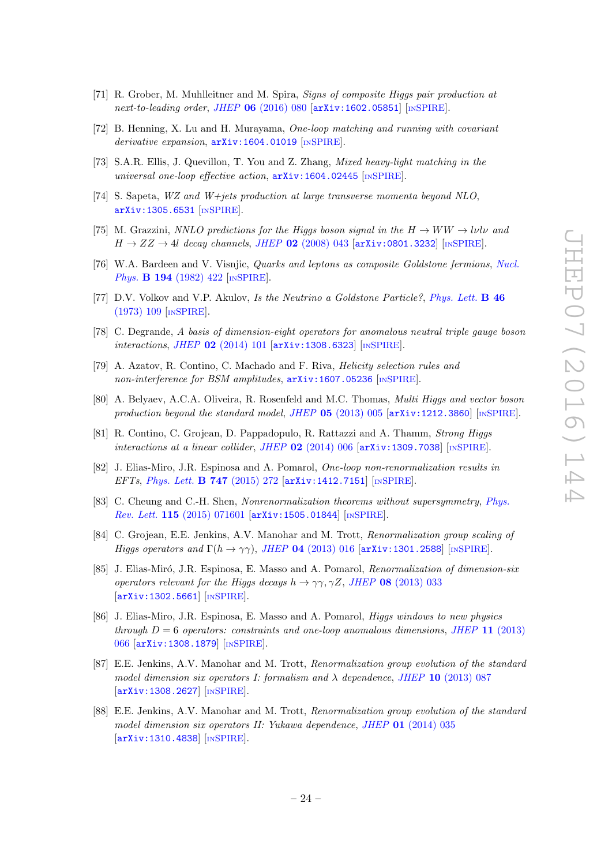- [71] R. Grober, M. Muhlleitner and M. Spira, Signs of composite Higgs pair production at next-to-leading order, JHEP  $06$  [\(2016\) 080](http://dx.doi.org/10.1007/JHEP06(2016)080)  $\text{arXiv:1602.05851}$  $\text{arXiv:1602.05851}$  $\text{arXiv:1602.05851}$  [IN[SPIRE](http://inspirehep.net/search?p=find+EPRINT+arXiv:1602.05851)].
- [72] B. Henning, X. Lu and H. Murayama, One-loop matching and running with covariant derivative expansion,  $arXiv:1604.01019$  [IN[SPIRE](http://inspirehep.net/search?p=find+EPRINT+arXiv:1604.01019)].
- <span id="page-24-0"></span>[73] S.A.R. Ellis, J. Quevillon, T. You and Z. Zhang, Mixed heavy-light matching in the universal one-loop effective action,  $arXiv:1604.02445$  [IN[SPIRE](http://inspirehep.net/search?p=find+EPRINT+arXiv:1604.02445)].
- <span id="page-24-1"></span>[74] S. Sapeta, WZ and W+jets production at large transverse momenta beyond NLO, [arXiv:1305.6531](http://arxiv.org/abs/1305.6531) [IN[SPIRE](http://inspirehep.net/search?p=find+EPRINT+arXiv:1305.6531)].
- <span id="page-24-2"></span>[75] M. Grazzini, NNLO predictions for the Higgs boson signal in the  $H \to WW \to l\nu l\nu$  and  $H \rightarrow ZZ \rightarrow 4l$  decay channels, JHEP 02 [\(2008\) 043](http://dx.doi.org/10.1088/1126-6708/2008/02/043) [[arXiv:0801.3232](http://arxiv.org/abs/0801.3232)] [IN[SPIRE](http://inspirehep.net/search?p=find+EPRINT+arXiv:0801.3232)].
- <span id="page-24-3"></span>[76] W.A. Bardeen and V. Visnjic, Quarks and leptons as composite Goldstone fermions, [Nucl.](http://dx.doi.org/10.1016/0550-3213(82)90019-0) Phys. **B 194** [\(1982\) 422](http://dx.doi.org/10.1016/0550-3213(82)90019-0) [IN[SPIRE](http://inspirehep.net/search?p=find+J+%22Nucl.Phys.,B194,422%22)].
- <span id="page-24-4"></span>[77] D.V. Volkov and V.P. Akulov, Is the Neutrino a Goldstone Particle?, [Phys. Lett.](http://dx.doi.org/10.1016/0370-2693(73)90490-5) B 46 [\(1973\) 109](http://dx.doi.org/10.1016/0370-2693(73)90490-5) [IN[SPIRE](http://inspirehep.net/search?p=find+J+%22Phys.Lett.,B46,109%22)].
- <span id="page-24-5"></span>[78] C. Degrande, A basis of dimension-eight operators for anomalous neutral triple gauge boson interactions, JHEP 02 [\(2014\) 101](http://dx.doi.org/10.1007/JHEP02(2014)101) [[arXiv:1308.6323](http://arxiv.org/abs/1308.6323)] [IN[SPIRE](http://inspirehep.net/search?p=find+EPRINT+arXiv:1308.6323)].
- <span id="page-24-6"></span>[79] A. Azatov, R. Contino, C. Machado and F. Riva, Helicity selection rules and non-interference for BSM amplitudes,  $arXiv:1607.05236$  [IN[SPIRE](http://inspirehep.net/search?p=find+EPRINT+ARXIV:1607.05236)].
- <span id="page-24-7"></span>[80] A. Belyaev, A.C.A. Oliveira, R. Rosenfeld and M.C. Thomas, Multi Higgs and vector boson production beyond the standard model, JHEP  $05$  [\(2013\) 005](http://dx.doi.org/10.1007/JHEP05(2013)005)  $\left[$ [arXiv:1212.3860](http://arxiv.org/abs/1212.3860) $\right]$  [IN[SPIRE](http://inspirehep.net/search?p=find+EPRINT+arXiv:1212.3860)].
- <span id="page-24-8"></span>[81] R. Contino, C. Grojean, D. Pappadopulo, R. Rattazzi and A. Thamm, Strong Higgs interactions at a linear collider, JHEP  $02$  [\(2014\) 006](http://dx.doi.org/10.1007/JHEP02(2014)006) [[arXiv:1309.7038](http://arxiv.org/abs/1309.7038)] [IN[SPIRE](http://inspirehep.net/search?p=find+EPRINT+arXiv:1309.7038)].
- <span id="page-24-9"></span>[82] J. Elias-Miro, J.R. Espinosa and A. Pomarol, One-loop non-renormalization results in EFTs, [Phys. Lett.](http://dx.doi.org/10.1016/j.physletb.2015.05.056) **B 747** (2015) 272 [[arXiv:1412.7151](http://arxiv.org/abs/1412.7151)] [IN[SPIRE](http://inspirehep.net/search?p=find+EPRINT+arXiv:1412.7151)].
- <span id="page-24-10"></span>[83] C. Cheung and C.-H. Shen, *Nonrenormalization theorems without supersymmetry, [Phys.](http://dx.doi.org/10.1103/PhysRevLett.115.071601)* Rev. Lett. 115 [\(2015\) 071601](http://dx.doi.org/10.1103/PhysRevLett.115.071601) [[arXiv:1505.01844](http://arxiv.org/abs/1505.01844)] [IN[SPIRE](http://inspirehep.net/search?p=find+EPRINT+arXiv:1505.01844)].
- <span id="page-24-11"></span>[84] C. Grojean, E.E. Jenkins, A.V. Manohar and M. Trott, Renormalization group scaling of Higgs operators and  $\Gamma(h \to \gamma\gamma)$ , JHEP 04 [\(2013\) 016](http://dx.doi.org/10.1007/JHEP04(2013)016) [[arXiv:1301.2588](http://arxiv.org/abs/1301.2588)] [IN[SPIRE](http://inspirehep.net/search?p=find+EPRINT+arXiv:1301.2588)].
- [85] J. Elias-Miró, J.R. Espinosa, E. Masso and A. Pomarol, *Renormalization of dimension-six* operators relevant for the Higgs decays  $h \to \gamma \gamma, \gamma Z$ , JHEP 08 [\(2013\) 033](http://dx.doi.org/10.1007/JHEP08(2013)033) [[arXiv:1302.5661](http://arxiv.org/abs/1302.5661)] [IN[SPIRE](http://inspirehep.net/search?p=find+EPRINT+arXiv:1302.5661)].
- [86] J. Elias-Miro, J.R. Espinosa, E. Masso and A. Pomarol, Higgs windows to new physics through  $D = 6$  operators: constraints and one-loop anomalous dimensions, JHEP 11 [\(2013\)](http://dx.doi.org/10.1007/JHEP11(2013)066) [066](http://dx.doi.org/10.1007/JHEP11(2013)066) [[arXiv:1308.1879](http://arxiv.org/abs/1308.1879)] [IN[SPIRE](http://inspirehep.net/search?p=find+EPRINT+arXiv:1308.1879)].
- [87] E.E. Jenkins, A.V. Manohar and M. Trott, Renormalization group evolution of the standard model dimension six operators I: formalism and  $\lambda$  dependence, JHEP 10 [\(2013\) 087](http://dx.doi.org/10.1007/JHEP10(2013)087) [[arXiv:1308.2627](http://arxiv.org/abs/1308.2627)] [IN[SPIRE](http://inspirehep.net/search?p=find+EPRINT+arXiv:1308.2627)].
- [88] E.E. Jenkins, A.V. Manohar and M. Trott, Renormalization group evolution of the standard model dimension six operators II: Yukawa dependence, JHEP 01 [\(2014\) 035](http://dx.doi.org/10.1007/JHEP01(2014)035) [[arXiv:1310.4838](http://arxiv.org/abs/1310.4838)] [IN[SPIRE](http://inspirehep.net/search?p=find+EPRINT+arXiv:1310.4838)].